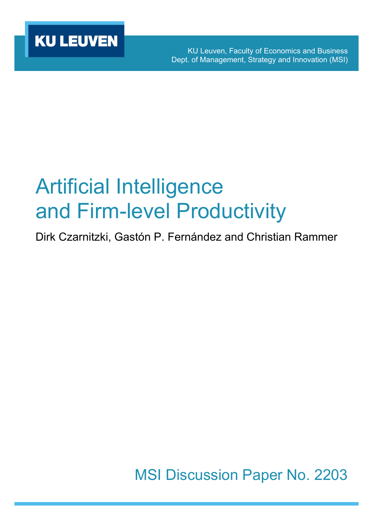KU Leuven, Faculty of Economics and Business Dept. of Management, Strategy and Innovation (MSI)

# Artificial Intelligence and Firm-level Productivity

Dirk Czarnitzki, Gastón P. Fernández and Christian Rammer

MSI Discussion Paper No. 2203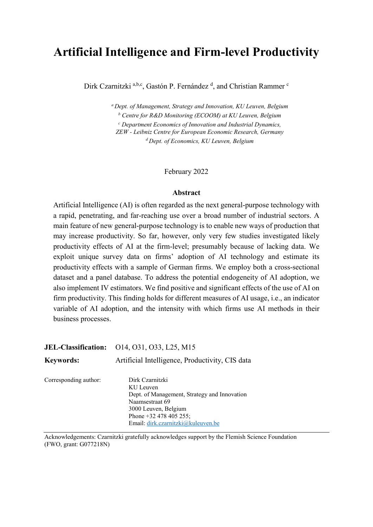## **Artificial Intelligence and Firm-level Productivity**

Dirk Czarnitzki <sup>a,b,c</sup>, Gastón P. Fernández <sup>d</sup>, and Christian Rammer <sup>c</sup>

*<sup>a</sup> Dept. of Management, Strategy and Innovation, KU Leuven, Belgium <sup>b</sup> Centre for R&D Monitoring (ECOOM) at KU Leuven, Belgium <sup>c</sup> Department Economics of Innovation and Industrial Dynamics, ZEW - Leibniz Centre for European Economic Research, Germany <sup>d</sup> Dept. of Economics, KU Leuven, Belgium*

#### February 2022

#### **Abstract**

Artificial Intelligence (AI) is often regarded as the next general-purpose technology with a rapid, penetrating, and far-reaching use over a broad number of industrial sectors. A main feature of new general-purpose technology is to enable new ways of production that may increase productivity. So far, however, only very few studies investigated likely productivity effects of AI at the firm-level; presumably because of lacking data. We exploit unique survey data on firms' adoption of AI technology and estimate its productivity effects with a sample of German firms. We employ both a cross-sectional dataset and a panel database. To address the potential endogeneity of AI adoption, we also implement IV estimators. We find positive and significant effects of the use of AI on firm productivity. This finding holds for different measures of AI usage, i.e., an indicator variable of AI adoption, and the intensity with which firms use AI methods in their business processes.

| <b>JEL-Classification:</b> | 014, 031, 033, L25, M15                                                                                                                                                                   |
|----------------------------|-------------------------------------------------------------------------------------------------------------------------------------------------------------------------------------------|
| <b>Keywords:</b>           | Artificial Intelligence, Productivity, CIS data                                                                                                                                           |
| Corresponding author:      | Dirk Czarnitzki<br>KU Leuven<br>Dept. of Management, Strategy and Innovation<br>Naamsestraat 69<br>3000 Leuven, Belgium<br>Phone $+32$ 478 405 255;<br>Email: dirk.czarnitzki@kuleuven.be |

Acknowledgements: Czarnitzki gratefully acknowledges support by the Flemish Science Foundation (FWO, grant: G077218N)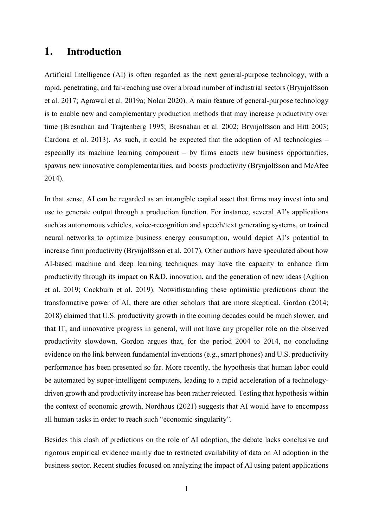## **1. Introduction**

Artificial Intelligence (AI) is often regarded as the next general-purpose technology, with a rapid, penetrating, and far-reaching use over a broad number of industrial sectors (Brynjolfsson et al. 2017; Agrawal et al. 2019a; Nolan 2020). A main feature of general-purpose technology is to enable new and complementary production methods that may increase productivity over time (Bresnahan and Trajtenberg 1995; Bresnahan et al. 2002; Brynjolfsson and Hitt 2003; Cardona et al. 2013). As such, it could be expected that the adoption of AI technologies – especially its machine learning component – by firms enacts new business opportunities, spawns new innovative complementarities, and boosts productivity (Brynjolfsson and McAfee 2014).

In that sense, AI can be regarded as an intangible capital asset that firms may invest into and use to generate output through a production function. For instance, several AI's applications such as autonomous vehicles, voice-recognition and speech/text generating systems, or trained neural networks to optimize business energy consumption, would depict AI's potential to increase firm productivity (Brynjolfsson et al. 2017). Other authors have speculated about how AI-based machine and deep learning techniques may have the capacity to enhance firm productivity through its impact on R&D, innovation, and the generation of new ideas (Aghion et al. 2019; Cockburn et al. 2019). Notwithstanding these optimistic predictions about the transformative power of AI, there are other scholars that are more skeptical. Gordon (2014; 2018) claimed that U.S. productivity growth in the coming decades could be much slower, and that IT, and innovative progress in general, will not have any propeller role on the observed productivity slowdown. Gordon argues that, for the period 2004 to 2014, no concluding evidence on the link between fundamental inventions (e.g., smart phones) and U.S. productivity performance has been presented so far. More recently, the hypothesis that human labor could be automated by super-intelligent computers, leading to a rapid acceleration of a technologydriven growth and productivity increase has been rather rejected. Testing that hypothesis within the context of economic growth, Nordhaus (2021) suggests that AI would have to encompass all human tasks in order to reach such "economic singularity".

Besides this clash of predictions on the role of AI adoption, the debate lacks conclusive and rigorous empirical evidence mainly due to restricted availability of data on AI adoption in the business sector. Recent studies focused on analyzing the impact of AI using patent applications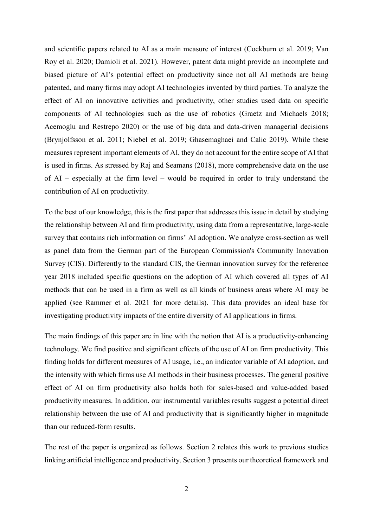and scientific papers related to AI as a main measure of interest (Cockburn et al. 2019; Van Roy et al. 2020; Damioli et al. 2021). However, patent data might provide an incomplete and biased picture of AI's potential effect on productivity since not all AI methods are being patented, and many firms may adopt AI technologies invented by third parties. To analyze the effect of AI on innovative activities and productivity, other studies used data on specific components of AI technologies such as the use of robotics (Graetz and Michaels 2018; Acemoglu and Restrepo 2020) or the use of big data and data-driven managerial decisions (Brynjolfsson et al. 2011; Niebel et al. 2019; Ghasemaghaei and Calic 2019). While these measures represent important elements of AI, they do not account for the entire scope of AI that is used in firms. As stressed by Raj and Seamans (2018), more comprehensive data on the use of AI – especially at the firm level – would be required in order to truly understand the contribution of AI on productivity.

To the best of our knowledge, this is the first paper that addresses this issue in detail by studying the relationship between AI and firm productivity, using data from a representative, large-scale survey that contains rich information on firms' AI adoption. We analyze cross-section as well as panel data from the German part of the European Commission's Community Innovation Survey (CIS). Differently to the standard CIS, the German innovation survey for the reference year 2018 included specific questions on the adoption of AI which covered all types of AI methods that can be used in a firm as well as all kinds of business areas where AI may be applied (see Rammer et al. 2021 for more details). This data provides an ideal base for investigating productivity impacts of the entire diversity of AI applications in firms.

The main findings of this paper are in line with the notion that AI is a productivity-enhancing technology. We find positive and significant effects of the use of AI on firm productivity. This finding holds for different measures of AI usage, i.e., an indicator variable of AI adoption, and the intensity with which firms use AI methods in their business processes. The general positive effect of AI on firm productivity also holds both for sales-based and value-added based productivity measures. In addition, our instrumental variables results suggest a potential direct relationship between the use of AI and productivity that is significantly higher in magnitude than our reduced-form results.

The rest of the paper is organized as follows. Section 2 relates this work to previous studies linking artificial intelligence and productivity. Section 3 presents our theoretical framework and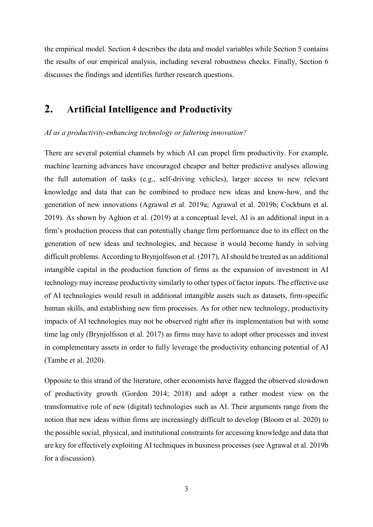the empirical model. Section 4 describes the data and model variables while Section 5 contains the results of our empirical analysis, including several robustness checks. Finally, Section 6 discusses the findings and identifies further research questions.

## **2. Artificial Intelligence and Productivity**

#### *AI as a productivity-enhancing technology or faltering innovation?*

There are several potential channels by which AI can propel firm productivity. For example, machine learning advances have encouraged cheaper and better predictive analyses allowing the full automation of tasks (e.g., self-driving vehicles), larger access to new relevant knowledge and data that can be combined to produce new ideas and know-how, and the generation of new innovations (Agrawal et al. 2019a; Agrawal et al. 2019b; Cockburn et al. 2019). As shown by Aghion et al. (2019) at a conceptual level, AI is an additional input in a firm's production process that can potentially change firm performance due to its effect on the generation of new ideas and technologies, and because it would become handy in solving difficult problems. According to Brynjolfsson et al. (2017), AI should be treated as an additional intangible capital in the production function of firms as the expansion of investment in AI technology may increase productivity similarly to other types of factor inputs. The effective use of AI technologies would result in additional intangible assets such as datasets, firm-specific human skills, and establishing new firm processes. As for other new technology, productivity impacts of AI technologies may not be observed right after its implementation but with some time lag only (Brynjolfsson et al. 2017) as firms may have to adopt other processes and invest in complementary assets in order to fully leverage the productivity enhancing potential of AI (Tambe et al. 2020).

Opposite to this strand of the literature, other economists have flagged the observed slowdown of productivity growth (Gordon 2014; 2018) and adopt a rather modest view on the transformative role of new (digital) technologies such as AI. Their arguments range from the notion that new ideas within firms are increasingly difficult to develop (Bloom et al. 2020) to the possible social, physical, and institutional constraints for accessing knowledge and data that are key for effectively exploiting AI techniques in business processes (see Agrawal et al. 2019b for a discussion).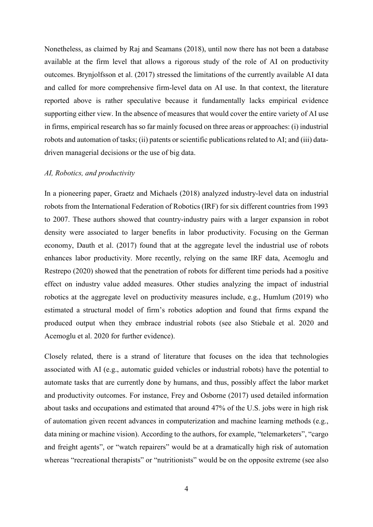Nonetheless, as claimed by Raj and Seamans (2018), until now there has not been a database available at the firm level that allows a rigorous study of the role of AI on productivity outcomes. Brynjolfsson et al. (2017) stressed the limitations of the currently available AI data and called for more comprehensive firm-level data on AI use. In that context, the literature reported above is rather speculative because it fundamentally lacks empirical evidence supporting either view. In the absence of measures that would cover the entire variety of AI use in firms, empirical research has so far mainly focused on three areas or approaches: (i) industrial robots and automation of tasks; (ii) patents or scientific publications related to AI; and (iii) datadriven managerial decisions or the use of big data.

#### *AI, Robotics, and productivity*

In a pioneering paper, Graetz and Michaels (2018) analyzed industry-level data on industrial robots from the International Federation of Robotics (IRF) for six different countries from 1993 to 2007. These authors showed that country-industry pairs with a larger expansion in robot density were associated to larger benefits in labor productivity. Focusing on the German economy, Dauth et al. (2017) found that at the aggregate level the industrial use of robots enhances labor productivity. More recently, relying on the same IRF data, Acemoglu and Restrepo (2020) showed that the penetration of robots for different time periods had a positive effect on industry value added measures. Other studies analyzing the impact of industrial robotics at the aggregate level on productivity measures include, e.g., Humlum (2019) who estimated a structural model of firm's robotics adoption and found that firms expand the produced output when they embrace industrial robots (see also Stiebale et al. 2020 and Acemoglu et al. 2020 for further evidence).

Closely related, there is a strand of literature that focuses on the idea that technologies associated with AI (e.g., automatic guided vehicles or industrial robots) have the potential to automate tasks that are currently done by humans, and thus, possibly affect the labor market and productivity outcomes. For instance, Frey and Osborne (2017) used detailed information about tasks and occupations and estimated that around 47% of the U.S. jobs were in high risk of automation given recent advances in computerization and machine learning methods (e.g., data mining or machine vision). According to the authors, for example, "telemarketers", "cargo and freight agents", or "watch repairers" would be at a dramatically high risk of automation whereas "recreational therapists" or "nutritionists" would be on the opposite extreme (see also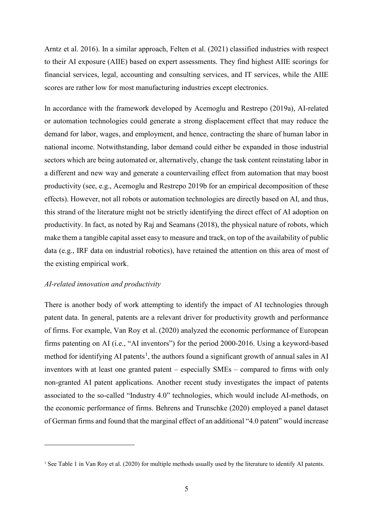Arntz et al. 2016). In a similar approach, Felten et al. (2021) classified industries with respect to their AI exposure (AIIE) based on expert assessments. They find highest AIIE scorings for financial services, legal, accounting and consulting services, and IT services, while the AIIE scores are rather low for most manufacturing industries except electronics.

In accordance with the framework developed by Acemoglu and Restrepo (2019a), AI-related or automation technologies could generate a strong displacement effect that may reduce the demand for labor, wages, and employment, and hence, contracting the share of human labor in national income. Notwithstanding, labor demand could either be expanded in those industrial sectors which are being automated or, alternatively, change the task content reinstating labor in a different and new way and generate a countervailing effect from automation that may boost productivity (see, e.g., Acemoglu and Restrepo 2019b for an empirical decomposition of these effects). However, not all robots or automation technologies are directly based on AI, and thus, this strand of the literature might not be strictly identifying the direct effect of AI adoption on productivity. In fact, as noted by Raj and Seamans (2018), the physical nature of robots, which make them a tangible capital asset easy to measure and track, on top of the availability of public data (e.g., IRF data on industrial robotics), have retained the attention on this area of most of the existing empirical work.

#### *AI-related innovation and productivity*

<u>.</u>

There is another body of work attempting to identify the impact of AI technologies through patent data. In general, patents are a relevant driver for productivity growth and performance of firms. For example, Van Roy et al. (2020) analyzed the economic performance of European firms patenting on AI (i.e., "AI inventors") for the period 2000-2016. Using a keyword-based method for identifying AI patents<sup>[1](#page-6-0)</sup>, the authors found a significant growth of annual sales in AI inventors with at least one granted patent – especially SMEs – compared to firms with only non-granted AI patent applications. Another recent study investigates the impact of patents associated to the so-called "Industry 4.0" technologies, which would include AI-methods, on the economic performance of firms. Behrens and Trunschke (2020) employed a panel dataset of German firms and found that the marginal effect of an additional "4.0 patent" would increase

<span id="page-6-0"></span><sup>1</sup> See Table 1 in Van Roy et al. (2020) for multiple methods usually used by the literature to identify AI patents.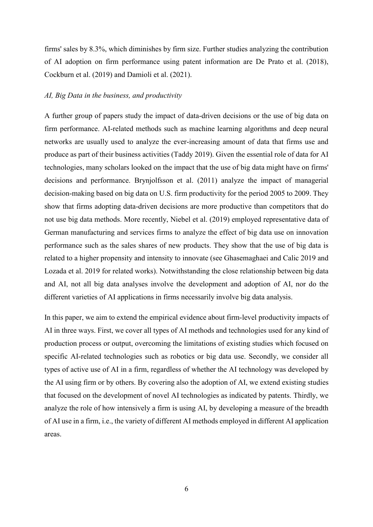firms' sales by 8.3%, which diminishes by firm size. Further studies analyzing the contribution of AI adoption on firm performance using patent information are De Prato et al. (2018), Cockburn et al. (2019) and Damioli et al. (2021).

#### *AI, Big Data in the business, and productivity*

A further group of papers study the impact of data-driven decisions or the use of big data on firm performance. AI-related methods such as machine learning algorithms and deep neural networks are usually used to analyze the ever-increasing amount of data that firms use and produce as part of their business activities (Taddy 2019). Given the essential role of data for AI technologies, many scholars looked on the impact that the use of big data might have on firms' decisions and performance. Brynjolfsson et al. (2011) analyze the impact of managerial decision-making based on big data on U.S. firm productivity for the period 2005 to 2009. They show that firms adopting data-driven decisions are more productive than competitors that do not use big data methods. More recently, Niebel et al. (2019) employed representative data of German manufacturing and services firms to analyze the effect of big data use on innovation performance such as the sales shares of new products. They show that the use of big data is related to a higher propensity and intensity to innovate (see Ghasemaghaei and Calic 2019 and Lozada et al. 2019 for related works). Notwithstanding the close relationship between big data and AI, not all big data analyses involve the development and adoption of AI, nor do the different varieties of AI applications in firms necessarily involve big data analysis.

In this paper, we aim to extend the empirical evidence about firm-level productivity impacts of AI in three ways. First, we cover all types of AI methods and technologies used for any kind of production process or output, overcoming the limitations of existing studies which focused on specific AI-related technologies such as robotics or big data use. Secondly, we consider all types of active use of AI in a firm, regardless of whether the AI technology was developed by the AI using firm or by others. By covering also the adoption of AI, we extend existing studies that focused on the development of novel AI technologies as indicated by patents. Thirdly, we analyze the role of how intensively a firm is using AI, by developing a measure of the breadth of AI use in a firm, i.e., the variety of different AI methods employed in different AI application areas.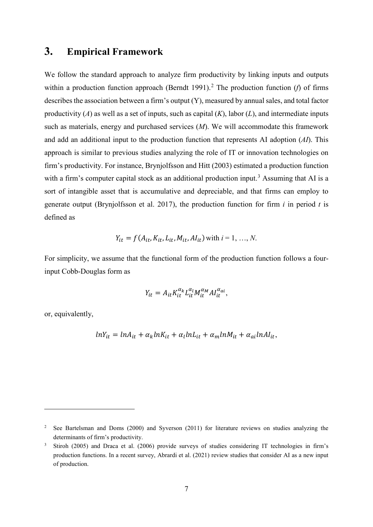## **3. Empirical Framework**

We follow the standard approach to analyze firm productivity by linking inputs and outputs within a production function approach (Berndt 1991).<sup>[2](#page-8-0)</sup> The production function (*f*) of firms describes the association between a firm's output (Y), measured by annual sales, and total factor productivity (*A*) as well as a set of inputs, such as capital (*K*), labor (*L*), and intermediate inputs such as materials, energy and purchased services (*M*). We will accommodate this framework and add an additional input to the production function that represents AI adoption (*AI*). This approach is similar to previous studies analyzing the role of IT or innovation technologies on firm's productivity. For instance, Brynjolfsson and Hitt (2003) estimated a production function with a firm's computer capital stock as an additional production input.<sup>[3](#page-8-1)</sup> Assuming that AI is a sort of intangible asset that is accumulative and depreciable, and that firms can employ to generate output (Brynjolfsson et al. 2017), the production function for firm *i* in period *t* is defined as

$$
Y_{it} = f(A_{it}, K_{it}, L_{it}, M_{it}, A I_{it})
$$
 with  $i = 1, ..., N$ .

For simplicity, we assume that the functional form of the production function follows a fourinput Cobb-Douglas form as

$$
Y_{it} = A_{it} K_{it}^{\alpha_k} L_{it}^{\alpha_l} M_{it}^{\alpha_M} A I_{it}^{\alpha_{ai}},
$$

or, equivalently,

-

$$
lnY_{it} = lnA_{it} + \alpha_k lnK_{it} + \alpha_l lnL_{it} + \alpha_m lnM_{it} + \alpha_{ai} lnAI_{it},
$$

<span id="page-8-0"></span><sup>2</sup> See Bartelsman and Doms (2000) and Syverson (2011) for literature reviews on studies analyzing the determinants of firm's productivity.

<span id="page-8-1"></span><sup>&</sup>lt;sup>3</sup> Stiroh (2005) and Draca et al. (2006) provide surveys of studies considering IT technologies in firm's production functions. In a recent survey, Abrardi et al. (2021) review studies that consider AI as a new input of production.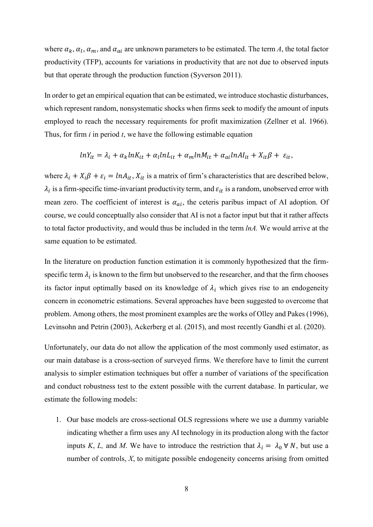where  $\alpha_k$ ,  $\alpha_l$ ,  $\alpha_m$ , and  $\alpha_{ai}$  are unknown parameters to be estimated. The term *A*, the total factor productivity (TFP), accounts for variations in productivity that are not due to observed inputs but that operate through the production function (Syverson 2011).

In order to get an empirical equation that can be estimated, we introduce stochastic disturbances, which represent random, nonsystematic shocks when firms seek to modify the amount of inputs employed to reach the necessary requirements for profit maximization (Zellner et al. 1966). Thus, for firm *i* in period *t*, we have the following estimable equation

$$
lnY_{it} = \lambda_i + \alpha_k lnK_{it} + \alpha_l lnL_{it} + \alpha_m lnM_{it} + \alpha_{ai} lnAI_{it} + X_{it}\beta + \varepsilon_{it},
$$

where  $\lambda_i + X_i \beta + \varepsilon_i = ln A_{it}$ ,  $X_{it}$  is a matrix of firm's characteristics that are described below,  $\lambda_i$  is a firm-specific time-invariant productivity term, and  $\varepsilon_{it}$  is a random, unobserved error with mean zero. The coefficient of interest is  $\alpha_{ai}$ , the ceteris paribus impact of AI adoption. Of course, we could conceptually also consider that AI is not a factor input but that it rather affects to total factor productivity, and would thus be included in the term *lnA.* We would arrive at the same equation to be estimated.

In the literature on production function estimation it is commonly hypothesized that the firmspecific term  $\lambda_i$  is known to the firm but unobserved to the researcher, and that the firm chooses its factor input optimally based on its knowledge of  $\lambda_i$  which gives rise to an endogeneity concern in econometric estimations. Several approaches have been suggested to overcome that problem. Among others, the most prominent examples are the works of Olley and Pakes (1996), Levinsohn and Petrin (2003), Ackerberg et al. (2015), and most recently Gandhi et al. (2020).

Unfortunately, our data do not allow the application of the most commonly used estimator, as our main database is a cross-section of surveyed firms. We therefore have to limit the current analysis to simpler estimation techniques but offer a number of variations of the specification and conduct robustness test to the extent possible with the current database. In particular, we estimate the following models:

1. Our base models are cross-sectional OLS regressions where we use a dummy variable indicating whether a firm uses any AI technology in its production along with the factor inputs *K*, *L*, and *M*. We have to introduce the restriction that  $\lambda_i = \lambda_0 \forall N$ , but use a number of controls, *X*, to mitigate possible endogeneity concerns arising from omitted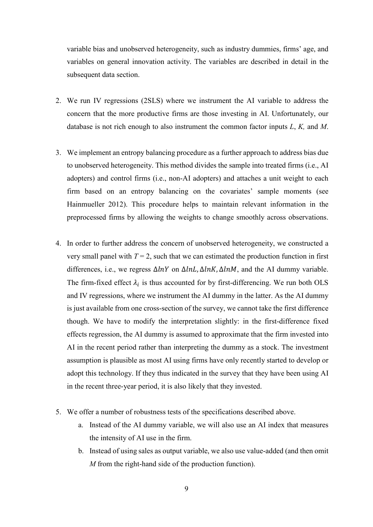variable bias and unobserved heterogeneity, such as industry dummies, firms' age, and variables on general innovation activity. The variables are described in detail in the subsequent data section.

- 2. We run IV regressions (2SLS) where we instrument the AI variable to address the concern that the more productive firms are those investing in AI. Unfortunately, our database is not rich enough to also instrument the common factor inputs *L*, *K,* and *M*.
- 3. We implement an entropy balancing procedure as a further approach to address bias due to unobserved heterogeneity. This method divides the sample into treated firms (i.e., AI adopters) and control firms (i.e., non-AI adopters) and attaches a unit weight to each firm based on an entropy balancing on the covariates' sample moments (see Hainmueller 2012). This procedure helps to maintain relevant information in the preprocessed firms by allowing the weights to change smoothly across observations.
- 4. In order to further address the concern of unobserved heterogeneity, we constructed a very small panel with  $T = 2$ , such that we can estimated the production function in first differences, i.e., we regress  $\Delta lnY$  on  $\Delta lnL$ ,  $\Delta lnK$ ,  $\Delta lnM$ , and the AI dummy variable. The firm-fixed effect  $\lambda_i$  is thus accounted for by first-differencing. We run both OLS and IV regressions, where we instrument the AI dummy in the latter. As the AI dummy is just available from one cross-section of the survey, we cannot take the first difference though. We have to modify the interpretation slightly: in the first-difference fixed effects regression, the AI dummy is assumed to approximate that the firm invested into AI in the recent period rather than interpreting the dummy as a stock. The investment assumption is plausible as most AI using firms have only recently started to develop or adopt this technology. If they thus indicated in the survey that they have been using AI in the recent three-year period, it is also likely that they invested.
- 5. We offer a number of robustness tests of the specifications described above.
	- a. Instead of the AI dummy variable, we will also use an AI index that measures the intensity of AI use in the firm.
	- b. Instead of using sales as output variable, we also use value-added (and then omit *M* from the right-hand side of the production function).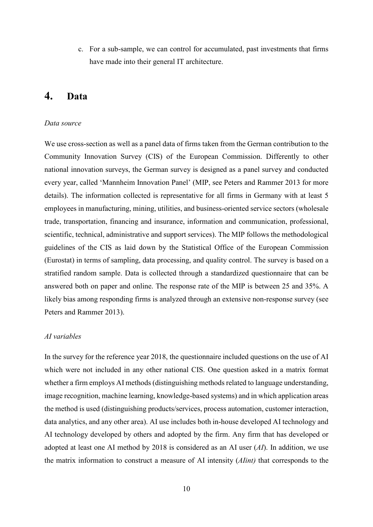c. For a sub-sample, we can control for accumulated, past investments that firms have made into their general IT architecture.

## **4. Data**

#### *Data source*

We use cross-section as well as a panel data of firms taken from the German contribution to the Community Innovation Survey (CIS) of the European Commission. Differently to other national innovation surveys, the German survey is designed as a panel survey and conducted every year, called 'Mannheim Innovation Panel' (MIP, see Peters and Rammer 2013 for more details). The information collected is representative for all firms in Germany with at least 5 employees in manufacturing, mining, utilities, and business-oriented service sectors (wholesale trade, transportation, financing and insurance, information and communication, professional, scientific, technical, administrative and support services). The MIP follows the methodological guidelines of the CIS as laid down by the Statistical Office of the European Commission (Eurostat) in terms of sampling, data processing, and quality control. The survey is based on a stratified random sample. Data is collected through a standardized questionnaire that can be answered both on paper and online. The response rate of the MIP is between 25 and 35%. A likely bias among responding firms is analyzed through an extensive non-response survey (see Peters and Rammer 2013).

#### *AI variables*

In the survey for the reference year 2018, the questionnaire included questions on the use of AI which were not included in any other national CIS. One question asked in a matrix format whether a firm employs AI methods (distinguishing methods related to language understanding, image recognition, machine learning, knowledge-based systems) and in which application areas the method is used (distinguishing products/services, process automation, customer interaction, data analytics, and any other area). AI use includes both in-house developed AI technology and AI technology developed by others and adopted by the firm. Any firm that has developed or adopted at least one AI method by 2018 is considered as an AI user (*AI*). In addition, we use the matrix information to construct a measure of AI intensity (*AIint)* that corresponds to the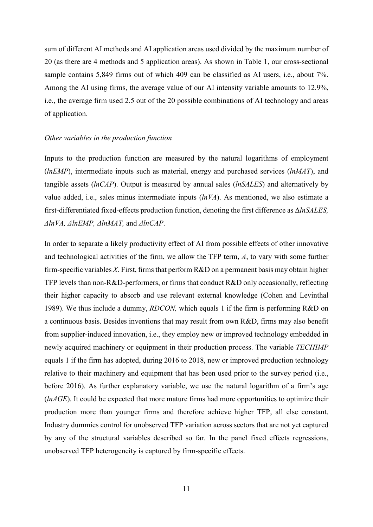sum of different AI methods and AI application areas used divided by the maximum number of 20 (as there are 4 methods and 5 application areas). As shown in [Table 1,](#page-12-0) our cross-sectional sample contains 5,849 firms out of which 409 can be classified as AI users, i.e., about 7%. Among the AI using firms, the average value of our AI intensity variable amounts to 12.9%, i.e., the average firm used 2.5 out of the 20 possible combinations of AI technology and areas of application.

#### *Other variables in the production function*

Inputs to the production function are measured by the natural logarithms of employment (*lnEMP*), intermediate inputs such as material, energy and purchased services (*lnMAT*), and tangible assets (*lnCAP*). Output is measured by annual sales (*lnSALES*) and alternatively by value added, i.e., sales minus intermediate inputs (*lnVA*). As mentioned, we also estimate a first-differentiated fixed-effects production function, denoting the first difference as Δ*lnSALES, ΔlnVA, ΔlnEMP, ΔlnMAT,* and *ΔlnCAP*.

<span id="page-12-0"></span>In order to separate a likely productivity effect of AI from possible effects of other innovative and technological activities of the firm, we allow the TFP term, *A*, to vary with some further firm-specific variables *X*. First, firms that perform R&D on a permanent basis may obtain higher TFP levels than non-R&D-performers, or firms that conduct R&D only occasionally, reflecting their higher capacity to absorb and use relevant external knowledge (Cohen and Levinthal 1989). We thus include a dummy, *RDCON,* which equals 1 if the firm is performing R&D on a continuous basis. Besides inventions that may result from own R&D, firms may also benefit from supplier-induced innovation, i.e., they employ new or improved technology embedded in newly acquired machinery or equipment in their production process. The variable *TECHIMP* equals 1 if the firm has adopted, during 2016 to 2018, new or improved production technology relative to their machinery and equipment that has been used prior to the survey period (i.e., before 2016). As further explanatory variable, we use the natural logarithm of a firm's age (*lnAGE*). It could be expected that more mature firms had more opportunities to optimize their production more than younger firms and therefore achieve higher TFP, all else constant. Industry dummies control for unobserved TFP variation across sectors that are not yet captured by any of the structural variables described so far. In the panel fixed effects regressions, unobserved TFP heterogeneity is captured by firm-specific effects.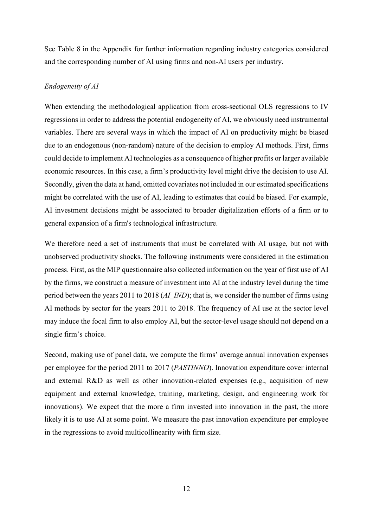See Table 8 in the Appendix for further information regarding industry categories considered and the corresponding number of AI using firms and non-AI users per industry.

#### *Endogeneity of AI*

When extending the methodological application from cross-sectional OLS regressions to IV regressions in order to address the potential endogeneity of AI, we obviously need instrumental variables. There are several ways in which the impact of AI on productivity might be biased due to an endogenous (non-random) nature of the decision to employ AI methods. First, firms could decide to implement AI technologies as a consequence of higher profits or larger available economic resources. In this case, a firm's productivity level might drive the decision to use AI. Secondly, given the data at hand, omitted covariates not included in our estimated specifications might be correlated with the use of AI, leading to estimates that could be biased. For example, AI investment decisions might be associated to broader digitalization efforts of a firm or to general expansion of a firm's technological infrastructure.

We therefore need a set of instruments that must be correlated with AI usage, but not with unobserved productivity shocks. The following instruments were considered in the estimation process. First, as the MIP questionnaire also collected information on the year of first use of AI by the firms, we construct a measure of investment into AI at the industry level during the time period between the years 2011 to 2018 (*AI\_IND*); that is, we consider the number of firms using AI methods by sector for the years 2011 to 2018. The frequency of AI use at the sector level may induce the focal firm to also employ AI, but the sector-level usage should not depend on a single firm's choice.

Second, making use of panel data, we compute the firms' average annual innovation expenses per employee for the period 2011 to 2017 (*PASTINNO*). Innovation expenditure cover internal and external R&D as well as other innovation-related expenses (e.g., acquisition of new equipment and external knowledge, training, marketing, design, and engineering work for innovations). We expect that the more a firm invested into innovation in the past, the more likely it is to use AI at some point. We measure the past innovation expenditure per employee in the regressions to avoid multicollinearity with firm size.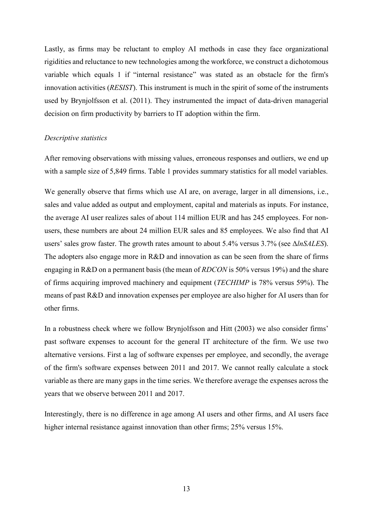Lastly, as firms may be reluctant to employ AI methods in case they face organizational rigidities and reluctance to new technologies among the workforce, we construct a dichotomous variable which equals 1 if "internal resistance" was stated as an obstacle for the firm's innovation activities (*RESIST*). This instrument is much in the spirit of some of the instruments used by Brynjolfsson et al. (2011). They instrumented the impact of data-driven managerial decision on firm productivity by barriers to IT adoption within the firm.

#### *Descriptive statistics*

After removing observations with missing values, erroneous responses and outliers, we end up with a sample size of 5,849 firms. Table 1 provides summary statistics for all model variables.

We generally observe that firms which use AI are, on average, larger in all dimensions, i.e., sales and value added as output and employment, capital and materials as inputs. For instance, the average AI user realizes sales of about 114 million EUR and has 245 employees. For nonusers, these numbers are about 24 million EUR sales and 85 employees. We also find that AI users' sales grow faster. The growth rates amount to about 5.4% versus 3.7% (see Δ*lnSALES*). The adopters also engage more in R&D and innovation as can be seen from the share of firms engaging in R&D on a permanent basis (the mean of *RDCON* is 50% versus 19%) and the share of firms acquiring improved machinery and equipment (*TECHIMP* is 78% versus 59%). The means of past R&D and innovation expenses per employee are also higher for AI users than for other firms.

In a robustness check where we follow Brynjolfsson and Hitt (2003) we also consider firms' past software expenses to account for the general IT architecture of the firm. We use two alternative versions. First a lag of software expenses per employee, and secondly, the average of the firm's software expenses between 2011 and 2017. We cannot really calculate a stock variable as there are many gaps in the time series. We therefore average the expenses across the years that we observe between 2011 and 2017.

Interestingly, there is no difference in age among AI users and other firms, and AI users face higher internal resistance against innovation than other firms; 25% versus 15%.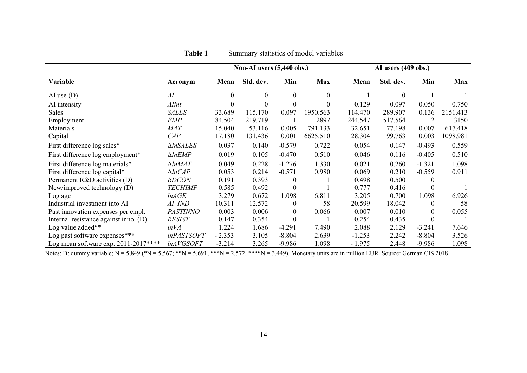|                                       |                     |          | Non-AI users (5,440 obs.) |                  |            |          | AI users (409 obs.) |                  |            |
|---------------------------------------|---------------------|----------|---------------------------|------------------|------------|----------|---------------------|------------------|------------|
| Variable                              | Acronym             | Mean     | Std. dev.                 | Min              | <b>Max</b> | Mean     | Std. dev.           | Min              | <b>Max</b> |
| AI use $(D)$                          | AI                  | $\Omega$ | $\mathbf{0}$              | $\overline{0}$   | $\theta$   |          | $\theta$            |                  |            |
| AI intensity                          | <b>Alint</b>        | $\theta$ | $\theta$                  | $\theta$         | $\theta$   | 0.129    | 0.097               | 0.050            | 0.750      |
| Sales                                 | <b>SALES</b>        | 33.689   | 115.170                   | 0.097            | 1950.563   | 114.470  | 289.907             | 0.136            | 2151.413   |
| Employment                            | <b>EMP</b>          | 84.504   | 219.719                   |                  | 2897       | 244.547  | 517.564             |                  | 3150       |
| Materials                             | <b>MAT</b>          | 15.040   | 53.116                    | 0.005            | 791.133    | 32.651   | 77.198              | 0.007            | 617.418    |
| Capital                               | CAP                 | 17.180   | 131.436                   | 0.001            | 6625.510   | 28.304   | 99.763              | 0.003            | 1098.981   |
| First difference log sales*           | $\triangle InSALES$ | 0.037    | 0.140                     | $-0.579$         | 0.722      | 0.054    | 0.147               | $-0.493$         | 0.559      |
| First difference log employment*      | $\triangle ln$ EMP  | 0.019    | 0.105                     | $-0.470$         | 0.510      | 0.046    | 0.116               | $-0.405$         | 0.510      |
| First difference log materials*       | $\triangle ln$ MAT  | 0.049    | 0.228                     | $-1.276$         | 1.330      | 0.021    | 0.260               | $-1.321$         | 1.098      |
| First difference log capital*         | $\triangle ln CAP$  | 0.053    | 0.214                     | $-0.571$         | 0.980      | 0.069    | 0.210               | $-0.559$         | 0.911      |
| Permanent R&D activities (D)          | <b>RDCON</b>        | 0.191    | 0.393                     | $\theta$         |            | 0.498    | 0.500               | $\Omega$         |            |
| New/improved technology $(D)$         | <b>TECHIMP</b>      | 0.585    | 0.492                     | $\mathbf{0}$     |            | 0.777    | 0.416               | $\theta$         |            |
| Log age                               | lnAGE               | 3.279    | 0.672                     | 1.098            | 6.811      | 3.205    | 0.700               | 1.098            | 6.926      |
| Industrial investment into AI         | AI IND              | 10.311   | 12.572                    | $\overline{0}$   | 58         | 20.599   | 18.042              | $\theta$         | 58         |
| Past innovation expenses per empl.    | <b>PASTINNO</b>     | 0.003    | 0.006                     | $\theta$         | 0.066      | 0.007    | 0.010               | $\theta$         | 0.055      |
| Internal resistance against inno. (D) | <b>RESIST</b>       | 0.147    | 0.354                     | $\boldsymbol{0}$ |            | 0.254    | 0.435               | $\boldsymbol{0}$ |            |
| Log value added**                     | lnVA                | 1.224    | 1.686                     | $-4.291$         | 7.490      | 2.088    | 2.129               | $-3.241$         | 7.646      |
| Log past software expenses***         | <b>InPASTSOFT</b>   | $-2.353$ | 3.105                     | $-8.804$         | 2.639      | $-1.253$ | 2.242               | $-8.804$         | 3.526      |
| Log mean software exp. 2011-2017****  | <i>lnAVGSOFT</i>    | $-3.214$ | 3.265                     | $-9.986$         | 1.098      | $-1.975$ | 2.448               | $-9.986$         | 1.098      |

## **Table 1** Summary statistics of model variables

Notes: D: dummy variable;  $N = 5,849$  (\* $N = 5,567$ ; \*\* $N = 5,691$ ; \*\*\* $N = 2,572$ , \*\*\*\* $N = 3,449$ ). Monetary units are in million EUR. Source: German CIS 2018.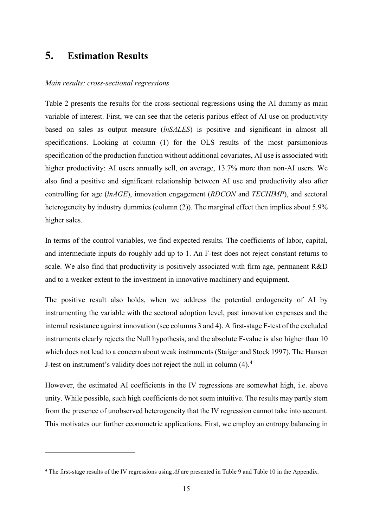## **5. Estimation Results**

<u>.</u>

#### *Main results: cross-sectional regressions*

[Table 2](#page-17-0) presents the results for the cross-sectional regressions using the AI dummy as main variable of interest. First, we can see that the ceteris paribus effect of AI use on productivity based on sales as output measure (*lnSALES*) is positive and significant in almost all specifications. Looking at column (1) for the OLS results of the most parsimonious specification of the production function without additional covariates, AI use is associated with higher productivity: AI users annually sell, on average, 13.7% more than non-AI users. We also find a positive and significant relationship between AI use and productivity also after controlling for age (*lnAGE*), innovation engagement (*RDCON* and *TECHIMP*), and sectoral heterogeneity by industry dummies (column (2)). The marginal effect then implies about 5.9% higher sales.

In terms of the control variables, we find expected results. The coefficients of labor, capital, and intermediate inputs do roughly add up to 1. An F-test does not reject constant returns to scale. We also find that productivity is positively associated with firm age, permanent R&D and to a weaker extent to the investment in innovative machinery and equipment.

The positive result also holds, when we address the potential endogeneity of AI by instrumenting the variable with the sectoral adoption level, past innovation expenses and the internal resistance against innovation (see columns 3 and 4). A first-stage F-test of the excluded instruments clearly rejects the Null hypothesis, and the absolute F-value is also higher than 10 which does not lead to a concern about weak instruments (Staiger and Stock 1997). The Hansen J-test on instrument's validity does not reject the null in column ([4](#page-16-0)).<sup>4</sup>

However, the estimated AI coefficients in the IV regressions are somewhat high, i.e. above unity. While possible, such high coefficients do not seem intuitive. The results may partly stem from the presence of unobserved heterogeneity that the IV regression cannot take into account. This motivates our further econometric applications. First, we employ an entropy balancing in

<span id="page-16-0"></span><sup>4</sup> The first-stage results of the IV regressions using *AI* are presented in Table 9 and Table 10 in the Appendix.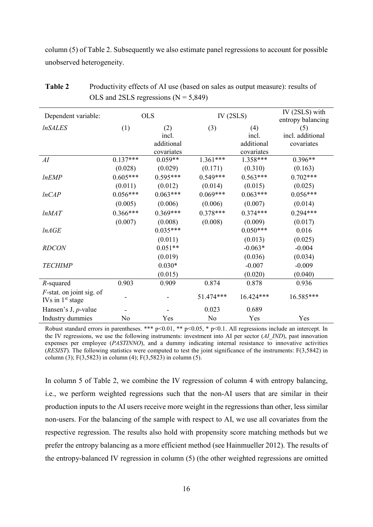column (5) of Table 2. Subsequently we also estimate panel regressions to account for possible unobserved heterogeneity.

| Dependent variable:                               |            | <b>OLS</b> | IV $(2SLS)$ |            | IV (2SLS) with<br>entropy balancing |
|---------------------------------------------------|------------|------------|-------------|------------|-------------------------------------|
| <i><b>InSALES</b></i>                             | (1)        | (2)        | (3)         | (4)        | (5)                                 |
|                                                   |            | incl.      |             | incl.      | incl. additional                    |
|                                                   |            | additional |             | additional | covariates                          |
|                                                   |            | covariates |             | covariates |                                     |
| AI                                                | $0.137***$ | $0.059**$  | $1.361***$  | $1.358***$ | $0.396**$                           |
|                                                   | (0.028)    | (0.029)    | (0.171)     | (0.310)    | (0.163)                             |
| lnEMP                                             | $0.605***$ | $0.595***$ | $0.549***$  | $0.563***$ | $0.702***$                          |
|                                                   | (0.011)    | (0.012)    | (0.014)     | (0.015)    | (0.025)                             |
| lnCAP                                             | $0.056***$ | $0.063***$ | $0.069***$  | $0.063***$ | $0.056***$                          |
|                                                   | (0.005)    | (0.006)    | (0.006)     | (0.007)    | (0.014)                             |
| lnMAT                                             | $0.366***$ | $0.369***$ | $0.378***$  | $0.374***$ | $0.294***$                          |
|                                                   | (0.007)    | (0.008)    | (0.008)     | (0.009)    | (0.017)                             |
| lnAGE                                             |            | $0.035***$ |             | $0.050***$ | 0.016                               |
|                                                   |            | (0.011)    |             | (0.013)    | (0.025)                             |
| <b>RDCON</b>                                      |            | $0.051**$  |             | $-0.063*$  | $-0.004$                            |
|                                                   |            | (0.019)    |             | (0.036)    | (0.034)                             |
| <b>TECHIMP</b>                                    |            | $0.030*$   |             | $-0.007$   | $-0.009$                            |
|                                                   |            | (0.015)    |             | (0.020)    | (0.040)                             |
| $R$ -squared                                      | 0.903      | 0.909      | 0.874       | 0.878      | 0.936                               |
| $F$ -stat. on joint sig. of<br>IVs in $1st$ stage |            |            | 51.474***   | 16.424***  | 16.585***                           |
| Hansen's J, $p$ -value                            |            |            | 0.023       | 0.689      |                                     |
| Industry dummies                                  | No         | Yes        | No          | Yes        | Yes                                 |

<span id="page-17-0"></span>**Table 2** Productivity effects of AI use (based on sales as output measure): results of OLS and 2SLS regressions  $(N = 5,849)$ 

Robust standard errors in parentheses. \*\*\* p<0.01, \*\* p<0.05, \* p<0.1. All regressions include an intercept. In the IV regressions, we use the following instruments: investment into AI per sector (*AI\_IND*), past innovation expenses per employee (*PASTINNO*), and a dummy indicating internal resistance to innovative activities (*RESIST*). The following statistics were computed to test the joint significance of the instruments: F(3,5842) in column (3); F(3,5823) in column (4); F(3,5823) in column (5).

In column 5 of Table 2, we combine the IV regression of column 4 with entropy balancing, i.e., we perform weighted regressions such that the non-AI users that are similar in their production inputs to the AI users receive more weight in the regressions than other, less similar non-users. For the balancing of the sample with respect to AI, we use all covariates from the respective regression. The results also hold with propensity score matching methods but we prefer the entropy balancing as a more efficient method (see Hainmueller 2012). The results of the entropy-balanced IV regression in column (5) (the other weighted regressions are omitted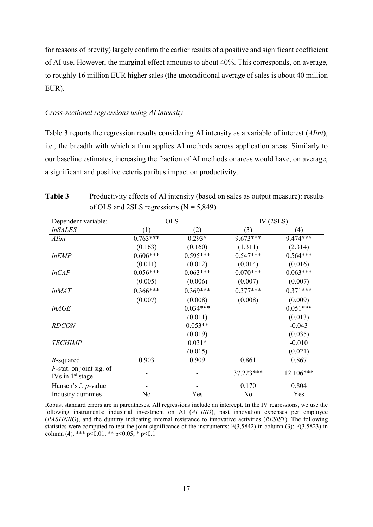for reasons of brevity) largely confirm the earlier results of a positive and significant coefficient of AI use. However, the marginal effect amounts to about 40%. This corresponds, on average, to roughly 16 million EUR higher sales (the unconditional average of sales is about 40 million EUR).

#### *Cross-sectional regressions using AI intensity*

[Table 3](#page-18-0) reports the regression results considering AI intensity as a variable of interest (*AIint*), i.e., the breadth with which a firm applies AI methods across application areas. Similarly to our baseline estimates, increasing the fraction of AI methods or areas would have, on average, a significant and positive ceteris paribus impact on productivity.

| Dependent variable:                               |            | <b>OLS</b> |                | IV $(2SLS)$ |
|---------------------------------------------------|------------|------------|----------------|-------------|
| <i><b>InSALES</b></i>                             | (1)        | (2)        | (3)            | (4)         |
| Alint                                             | $0.763***$ | $0.293*$   | $9.673***$     | 9.474***    |
|                                                   | (0.163)    | (0.160)    | (1.311)        | (2.314)     |
| lnEMP                                             | $0.606***$ | $0.595***$ | $0.547***$     | $0.564***$  |
|                                                   | (0.011)    | (0.012)    | (0.014)        | (0.016)     |
| lnCAP                                             | $0.056***$ | $0.063***$ | $0.070***$     | $0.063***$  |
|                                                   | (0.005)    | (0.006)    | (0.007)        | (0.007)     |
| lnMAT                                             | $0.366***$ | $0.369***$ | $0.377***$     | $0.371***$  |
|                                                   | (0.007)    | (0.008)    | (0.008)        | (0.009)     |
| lnAGE                                             |            | $0.034***$ |                | $0.051***$  |
|                                                   |            | (0.011)    |                | (0.013)     |
| <b>RDCON</b>                                      |            | $0.053**$  |                | $-0.043$    |
|                                                   |            | (0.019)    |                | (0.035)     |
| <b>TECHIMP</b>                                    |            | $0.031*$   |                | $-0.010$    |
|                                                   |            | (0.015)    |                | (0.021)     |
| $R$ -squared                                      | 0.903      | 0.909      | 0.861          | 0.867       |
| $F$ -stat. on joint sig. of<br>IVs in $1st$ stage |            |            | 37.223***      | 12.106***   |
| Hansen's J, $p$ -value                            |            |            | 0.170          | 0.804       |
| Industry dummies                                  | No         | Yes        | N <sub>o</sub> | Yes         |

<span id="page-18-0"></span>**Table 3** Productivity effects of AI intensity (based on sales as output measure): results of OLS and 2SLS regressions  $(N = 5,849)$ 

Robust standard errors are in parentheses. All regressions include an intercept. In the IV regressions, we use the following instruments: industrial investment on AI (*AI\_IND*), past innovation expenses per employee (*PASTINNO*), and the dummy indicating internal resistance to innovative activities (*RESIST*). The following statistics were computed to test the joint significance of the instruments: F(3,5842) in column (3); F(3,5823) in column (4). \*\*\* p<0.01, \*\* p<0.05, \* p<0.1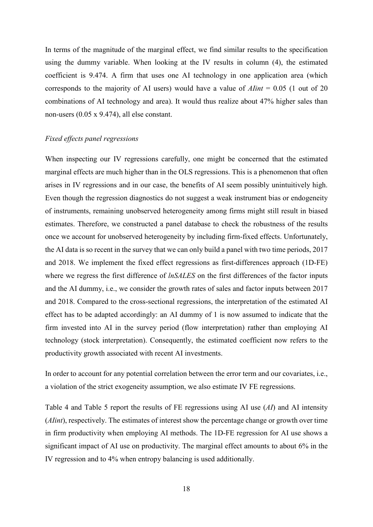In terms of the magnitude of the marginal effect, we find similar results to the specification using the dummy variable. When looking at the IV results in column (4), the estimated coefficient is 9.474. A firm that uses one AI technology in one application area (which corresponds to the majority of AI users) would have a value of *AIint* = 0.05 (1 out of 20 combinations of AI technology and area). It would thus realize about 47% higher sales than non-users (0.05 x 9.474), all else constant.

#### *Fixed effects panel regressions*

When inspecting our IV regressions carefully, one might be concerned that the estimated marginal effects are much higher than in the OLS regressions. This is a phenomenon that often arises in IV regressions and in our case, the benefits of AI seem possibly unintuitively high. Even though the regression diagnostics do not suggest a weak instrument bias or endogeneity of instruments, remaining unobserved heterogeneity among firms might still result in biased estimates. Therefore, we constructed a panel database to check the robustness of the results once we account for unobserved heterogeneity by including firm-fixed effects. Unfortunately, the AI data is so recent in the survey that we can only build a panel with two time periods, 2017 and 2018. We implement the fixed effect regressions as first-differences approach (1D-FE) where we regress the first difference of *lnSALES* on the first differences of the factor inputs and the AI dummy, i.e., we consider the growth rates of sales and factor inputs between 2017 and 2018. Compared to the cross-sectional regressions, the interpretation of the estimated AI effect has to be adapted accordingly: an AI dummy of 1 is now assumed to indicate that the firm invested into AI in the survey period (flow interpretation) rather than employing AI technology (stock interpretation). Consequently, the estimated coefficient now refers to the productivity growth associated with recent AI investments.

In order to account for any potential correlation between the error term and our covariates, i.e., a violation of the strict exogeneity assumption, we also estimate IV FE regressions.

[Table 4](#page-20-0) and [Table 5](#page-20-1) report the results of FE regressions using AI use (*AI*) and AI intensity (*AIint*), respectively. The estimates of interest show the percentage change or growth over time in firm productivity when employing AI methods. The 1D-FE regression for AI use shows a significant impact of AI use on productivity. The marginal effect amounts to about 6% in the IV regression and to 4% when entropy balancing is used additionally.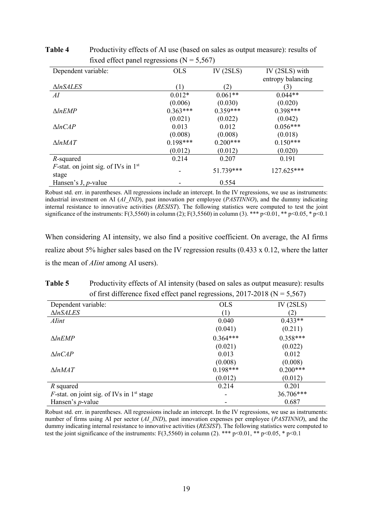| Dependent variable:                           | <b>OLS</b> | IV $(2SLS)$ | IV (2SLS) with    |
|-----------------------------------------------|------------|-------------|-------------------|
|                                               |            |             | entropy balancing |
| $\triangle InSALES$                           | (1)        | (2)         | (3)               |
| AI                                            | $0.012*$   | $0.061**$   | $0.044**$         |
|                                               | (0.006)    | (0.030)     | (0.020)           |
| $\triangle InEMP$                             | $0.363***$ | $0.359***$  | $0.398***$        |
|                                               | (0.021)    | (0.022)     | (0.042)           |
| $\triangle ln CAP$                            | 0.013      | 0.012       | $0.056***$        |
|                                               | (0.008)    | (0.008)     | (0.018)           |
| $\triangle ln$ MAT                            | $0.198***$ | $0.200***$  | $0.150***$        |
|                                               | (0.012)    | (0.012)     | (0.020)           |
| R-squared                                     | 0.214      | 0.207       | 0.191             |
| <i>F</i> -stat. on joint sig. of IVs in $1st$ |            | 51.739***   | 127.625***        |
| stage                                         |            |             |                   |
| Hansen's J, $p$ -value                        |            | 0.554       |                   |

<span id="page-20-0"></span>Table 4 Productivity effects of AI use (based on sales as output measure): results of fixed effect panel regressions  $(N = 5.567)$ 

Robust std. err. in parentheses. All regressions include an intercept. In the IV regressions, we use as instruments: industrial investment on AI (*AI\_IND*), past innovation per employee (*PASTINNO*), and the dummy indicating internal resistance to innovative activities (*RESIST*). The following statistics were computed to test the joint significance of the instruments: F(3,5560) in column (2); F(3,5560) in column (3). \*\*\* p<0.01, \*\* p<0.05, \* p<0.1

<span id="page-20-1"></span>When considering AI intensity, we also find a positive coefficient. On average, the AI firms realize about 5% higher sales based on the IV regression results (0.433 x 0.12, where the latter is the mean of *AIint* among AI users).

**Table 5** Productivity effects of AI intensity (based on sales as output measure): results of first difference fixed effect panel regressions,  $2017-2018$  (N = 5,567)

| Dependent variable:                                 | <b>OLS</b> | IV (2SLS)  |
|-----------------------------------------------------|------------|------------|
| $\triangle ln SALES$                                | (1)        | 2)         |
| Alint                                               | 0.040      | $0.433**$  |
|                                                     | (0.041)    | (0.211)    |
| $\triangle InEMP$                                   | $0.364***$ | $0.358***$ |
|                                                     | (0.021)    | (0.022)    |
| $\triangle ln CAP$                                  | 0.013      | 0.012      |
|                                                     | (0.008)    | (0.008)    |
| $\triangle ln$ MAT                                  | $0.198***$ | $0.200***$ |
|                                                     | (0.012)    | (0.012)    |
| R squared                                           | 0.214      | 0.201      |
| <i>F</i> -stat. on joint sig. of IVs in $1st$ stage |            | 36.706***  |
| Hansen's <i>p</i> -value                            |            | 0.687      |

Robust std. err. in parentheses. All regressions include an intercept. In the IV regressions, we use as instruments: number of firms using AI per sector (*AI\_IND*), past innovation expenses per employee (*PASTINNO*), and the dummy indicating internal resistance to innovative activities (*RESIST*). The following statistics were computed to test the joint significance of the instruments: F(3,5560) in column (2). \*\*\* p<0.01, \*\* p<0.05, \* p<0.1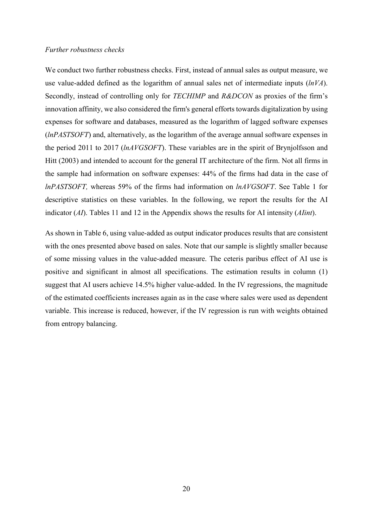#### *Further robustness checks*

We conduct two further robustness checks. First, instead of annual sales as output measure, we use value-added defined as the logarithm of annual sales net of intermediate inputs (*lnVA*). Secondly, instead of controlling only for *TECHIMP* and *R&DCON* as proxies of the firm's innovation affinity, we also considered the firm's general efforts towards digitalization by using expenses for software and databases, measured as the logarithm of lagged software expenses (*lnPASTSOFT*) and, alternatively, as the logarithm of the average annual software expenses in the period 2011 to 2017 (*lnAVGSOFT*). These variables are in the spirit of Brynjolfsson and Hitt (2003) and intended to account for the general IT architecture of the firm. Not all firms in the sample had information on software expenses: 44% of the firms had data in the case of *lnPASTSOFT,* whereas 59% of the firms had information on *lnAVGSOFT*. See Table 1 for descriptive statistics on these variables. In the following, we report the results for the AI indicator (*AI*). Tables 11 and 12 in the Appendix shows the results for AI intensity (*AIint*).

As shown in [Table 6,](#page-22-0) using value-added as output indicator produces results that are consistent with the ones presented above based on sales. Note that our sample is slightly smaller because of some missing values in the value-added measure. The ceteris paribus effect of AI use is positive and significant in almost all specifications. The estimation results in column (1) suggest that AI users achieve 14.5% higher value-added. In the IV regressions, the magnitude of the estimated coefficients increases again as in the case where sales were used as dependent variable. This increase is reduced, however, if the IV regression is run with weights obtained from entropy balancing.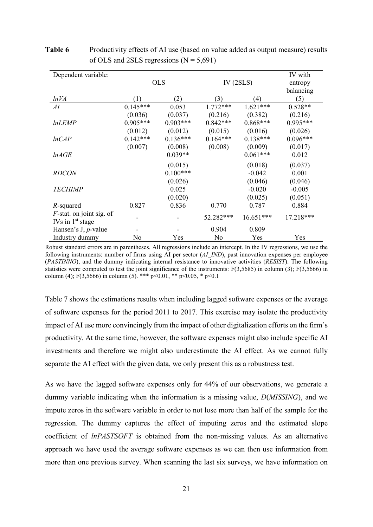| Dependent variable:                               |            | <b>OLS</b> | IV $(2SLS)$ | IV with<br>entropy<br>balancing |            |
|---------------------------------------------------|------------|------------|-------------|---------------------------------|------------|
| lnVA                                              | (1)        | (2)        | (3)         | (4)                             | (5)        |
| AI                                                | $0.145***$ | 0.053      | $1.772***$  | $1.621***$                      | $0.528**$  |
|                                                   | (0.036)    | (0.037)    | (0.216)     | (0.382)                         | (0.216)    |
| <i>lnLEMP</i>                                     | $0.905***$ | $0.903***$ | $0.842***$  | $0.868***$                      | $0.995***$ |
|                                                   | (0.012)    | (0.012)    | (0.015)     | (0.016)                         | (0.026)    |
| lnCAP                                             | $0.142***$ | $0.136***$ | $0.164***$  | $0.138***$                      | $0.096***$ |
|                                                   | (0.007)    | (0.008)    | (0.008)     | (0.009)                         | (0.017)    |
| lnAGE                                             |            | $0.039**$  |             | $0.061***$                      | 0.012      |
|                                                   |            | (0.015)    |             | (0.018)                         | (0.037)    |
| <b>RDCON</b>                                      |            | $0.100***$ |             | $-0.042$                        | 0.001      |
|                                                   |            | (0.026)    |             | (0.046)                         | (0.046)    |
| <b>TECHIMP</b>                                    |            | 0.025      |             | $-0.020$                        | $-0.005$   |
|                                                   |            | (0.020)    |             | (0.025)                         | (0.051)    |
| R-squared                                         | 0.827      | 0.836      | 0.770       | 0.787                           | 0.884      |
| $F$ -stat. on joint sig. of<br>IVs in $1st$ stage |            |            | 52.282***   | $16.651***$                     | 17.218***  |
| Hansen's J, $p$ -value                            |            |            | 0.904       | 0.809                           |            |
| Industry dummy                                    | No         | Yes        | No          | Yes                             | Yes        |

<span id="page-22-0"></span>**Table 6** Productivity effects of AI use (based on value added as output measure) results of OLS and 2SLS regressions  $(N = 5,691)$ 

Robust standard errors are in parentheses. All regressions include an intercept. In the IV regressions, we use the following instruments: number of firms using AI per sector (*AI\_IND*), past innovation expenses per employee (*PASTINNO*), and the dummy indicating internal resistance to innovative activities (*RESIST*). The following statistics were computed to test the joint significance of the instruments: F(3,5685) in column (3); F(3,5666) in column (4); F(3,5666) in column (5). \*\*\* p<0.01, \*\* p<0.05, \* p<0.1

[Table 7](#page-23-0) shows the estimations results when including lagged software expenses or the average of software expenses for the period 2011 to 2017. This exercise may isolate the productivity impact of AI use more convincingly from the impact of other digitalization efforts on the firm's productivity. At the same time, however, the software expenses might also include specific AI investments and therefore we might also underestimate the AI effect. As we cannot fully separate the AI effect with the given data, we only present this as a robustness test.

As we have the lagged software expenses only for 44% of our observations, we generate a dummy variable indicating when the information is a missing value, *D*(*MISSING*), and we impute zeros in the software variable in order to not lose more than half of the sample for the regression. The dummy captures the effect of imputing zeros and the estimated slope coefficient of *lnPASTSOFT* is obtained from the non-missing values. As an alternative approach we have used the average software expenses as we can then use information from more than one previous survey. When scanning the last six surveys, we have information on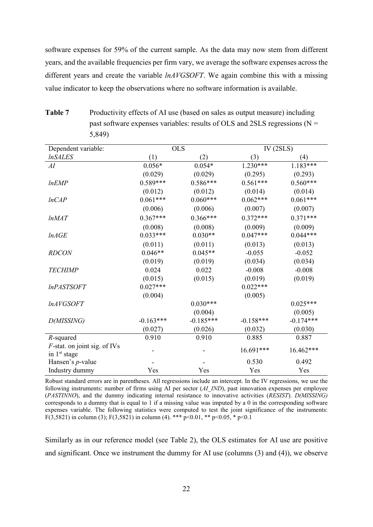software expenses for 59% of the current sample. As the data may now stem from different years, and the available frequencies per firm vary, we average the software expenses across the different years and create the variable *lnAVGSOFT*. We again combine this with a missing value indicator to keep the observations where no software information is available.

Dependent variable: OLS IV (2SLS) *lnSALES* (1) (2) (3) (4) *AI* 0.056\* 0.054\* 1.230\*\*\* 1.183\*\*\*  $(0.029)$   $(0.029)$   $(0.295)$   $(0.293)$ *lnEMP* 0.589\*\*\* 0.586\*\*\* 0.561\*\*\* 0.560\*\*\*  $(0.012)$   $(0.012)$   $(0.014)$   $(0.014)$ *lnCAP* 0.061\*\*\* 0.060\*\*\* 0.062\*\*\* 0.061\*\*\*  $(0.006)$   $(0.006)$   $(0.007)$   $(0.007)$ *lnMAT* 0.367\*\*\* 0.366\*\*\* 0.372\*\*\* 0.371\*\*\*  $(0.008)$   $(0.008)$   $(0.009)$   $(0.009)$ *lnAGE* 0.033\*\*\* 0.030\*\* 0.047\*\*\* 0.044\*\*\*  $(0.011)$   $(0.011)$   $(0.013)$   $(0.013)$ *RDCON* 0.046\*\* 0.045\*\* -0.055 -0.052  $(0.019)$   $(0.019)$   $(0.034)$   $(0.034)$ *TECHIMP* 0.024 0.022 -0.008 -0.008  $(0.015)$   $(0.015)$   $(0.019)$   $(0.019)$ *lnPASTSOFT* 0.027\*\*\* 0.022\*\*\*  $(0.004)$   $(0.005)$ *lnAVGSOFT* 0.030\*\*\* 0.025\*\*\*  $(0.004)$   $(0.005)$ *D(MISSING)* -0.163\*\*\* -0.185\*\*\* -0.185\*\*\* -0.158\*\*\* -0.174\*\*\*  $(0.027)$   $(0.026)$   $(0.032)$   $(0.030)$ *R*-squared 0.910 0.910 0.885 0.887 *F*-stat. on joint sig. of IVs  $\frac{16.691^{***}}{15.462^{***}}$  16.462\*\*\* Hansen's *p*-value **-** - 0.530 0.492 Industry dummy Yes Yes Yes Yes

<span id="page-23-0"></span>

| Table 7 | Productivity effects of AI use (based on sales as output measure) including   |
|---------|-------------------------------------------------------------------------------|
|         | past software expenses variables: results of OLS and 2SLS regressions ( $N =$ |
|         | 5,849)                                                                        |

Robust standard errors are in parentheses. All regressions include an intercept. In the IV regressions, we use the following instruments: number of firms using AI per sector (*AI\_IND*), past innovation expenses per employee (*PASTINNO*), and the dummy indicating internal resistance to innovative activities (*RESIST*). *D(MISSING)* corresponds to a dummy that is equal to 1 if a missing value was imputed by a 0 in the corresponding software expenses variable. The following statistics were computed to test the joint significance of the instruments: F(3,5821) in column (3); F(3,5821) in column (4). \*\*\*  $p<0.01$ , \*\*  $p<0.05$ , \*  $p<0.1$ 

Similarly as in our reference model (see [Table 2\)](#page-17-0), the OLS estimates for AI use are positive and significant. Once we instrument the dummy for AI use (columns (3) and (4)), we observe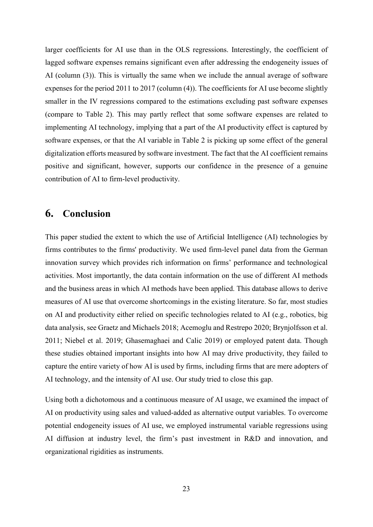larger coefficients for AI use than in the OLS regressions. Interestingly, the coefficient of lagged software expenses remains significant even after addressing the endogeneity issues of AI (column (3)). This is virtually the same when we include the annual average of software expenses for the period 2011 to 2017 (column (4)). The coefficients for AI use become slightly smaller in the IV regressions compared to the estimations excluding past software expenses (compare to Table 2). This may partly reflect that some software expenses are related to implementing AI technology, implying that a part of the AI productivity effect is captured by software expenses, or that the AI variable in Table 2 is picking up some effect of the general digitalization efforts measured by software investment. The fact that the AI coefficient remains positive and significant, however, supports our confidence in the presence of a genuine contribution of AI to firm-level productivity.

## **6. Conclusion**

This paper studied the extent to which the use of Artificial Intelligence (AI) technologies by firms contributes to the firms' productivity. We used firm-level panel data from the German innovation survey which provides rich information on firms' performance and technological activities. Most importantly, the data contain information on the use of different AI methods and the business areas in which AI methods have been applied. This database allows to derive measures of AI use that overcome shortcomings in the existing literature. So far, most studies on AI and productivity either relied on specific technologies related to AI (e.g., robotics, big data analysis, see Graetz and Michaels 2018; Acemoglu and Restrepo 2020; Brynjolfsson et al. 2011; Niebel et al. 2019; Ghasemaghaei and Calic 2019) or employed patent data. Though these studies obtained important insights into how AI may drive productivity, they failed to capture the entire variety of how AI is used by firms, including firms that are mere adopters of AI technology, and the intensity of AI use. Our study tried to close this gap.

Using both a dichotomous and a continuous measure of AI usage, we examined the impact of AI on productivity using sales and valued-added as alternative output variables. To overcome potential endogeneity issues of AI use, we employed instrumental variable regressions using AI diffusion at industry level, the firm's past investment in R&D and innovation, and organizational rigidities as instruments.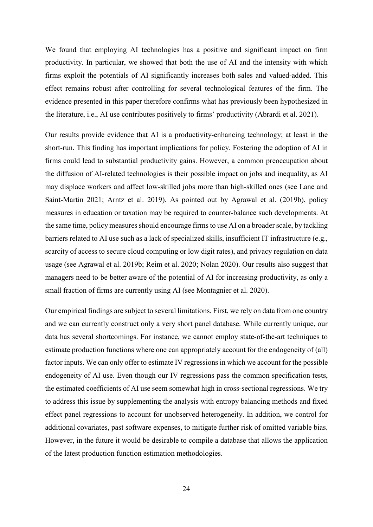We found that employing AI technologies has a positive and significant impact on firm productivity. In particular, we showed that both the use of AI and the intensity with which firms exploit the potentials of AI significantly increases both sales and valued-added. This effect remains robust after controlling for several technological features of the firm. The evidence presented in this paper therefore confirms what has previously been hypothesized in the literature, i.e., AI use contributes positively to firms' productivity (Abrardi et al. 2021).

Our results provide evidence that AI is a productivity-enhancing technology; at least in the short-run. This finding has important implications for policy. Fostering the adoption of AI in firms could lead to substantial productivity gains. However, a common preoccupation about the diffusion of AI-related technologies is their possible impact on jobs and inequality, as AI may displace workers and affect low-skilled jobs more than high-skilled ones (see Lane and Saint-Martin 2021; Arntz et al. 2019). As pointed out by Agrawal et al. (2019b), policy measures in education or taxation may be required to counter-balance such developments. At the same time, policy measures should encourage firms to use AI on a broader scale, by tackling barriers related to AI use such as a lack of specialized skills, insufficient IT infrastructure (e.g., scarcity of access to secure cloud computing or low digit rates), and privacy regulation on data usage (see Agrawal et al. 2019b; Reim et al. 2020; Nolan 2020). Our results also suggest that managers need to be better aware of the potential of AI for increasing productivity, as only a small fraction of firms are currently using AI (see Montagnier et al. 2020).

Our empirical findings are subject to several limitations. First, we rely on data from one country and we can currently construct only a very short panel database. While currently unique, our data has several shortcomings. For instance, we cannot employ state-of-the-art techniques to estimate production functions where one can appropriately account for the endogeneity of (all) factor inputs. We can only offer to estimate IV regressions in which we account for the possible endogeneity of AI use. Even though our IV regressions pass the common specification tests, the estimated coefficients of AI use seem somewhat high in cross-sectional regressions. We try to address this issue by supplementing the analysis with entropy balancing methods and fixed effect panel regressions to account for unobserved heterogeneity. In addition, we control for additional covariates, past software expenses, to mitigate further risk of omitted variable bias. However, in the future it would be desirable to compile a database that allows the application of the latest production function estimation methodologies.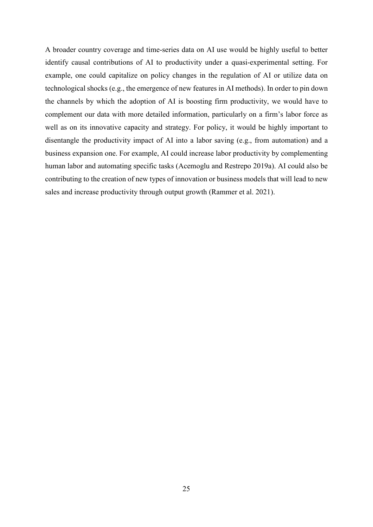A broader country coverage and time-series data on AI use would be highly useful to better identify causal contributions of AI to productivity under a quasi-experimental setting. For example, one could capitalize on policy changes in the regulation of AI or utilize data on technological shocks (e.g., the emergence of new features in AI methods). In order to pin down the channels by which the adoption of AI is boosting firm productivity, we would have to complement our data with more detailed information, particularly on a firm's labor force as well as on its innovative capacity and strategy. For policy, it would be highly important to disentangle the productivity impact of AI into a labor saving (e.g., from automation) and a business expansion one. For example, AI could increase labor productivity by complementing human labor and automating specific tasks (Acemoglu and Restrepo 2019a). AI could also be contributing to the creation of new types of innovation or business models that will lead to new sales and increase productivity through output growth (Rammer et al. 2021).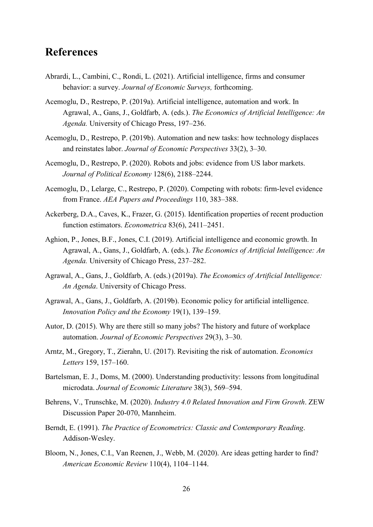## **References**

- Abrardi, L., Cambini, C., Rondi, L. (2021). Artificial intelligence, firms and consumer behavior: a survey. *Journal of Economic Surveys,* forthcoming.
- Acemoglu, D., Restrepo, P. (2019a). Artificial intelligence, automation and work. In Agrawal, A., Gans, J., Goldfarb, A. (eds.). *The Economics of Artificial Intelligence: An Agenda.* University of Chicago Press, 197–236.
- Acemoglu, D., Restrepo, P. (2019b). Automation and new tasks: how technology displaces and reinstates labor. *Journal of Economic Perspectives* 33(2), 3–30.
- Acemoglu, D., Restrepo, P. (2020). Robots and jobs: evidence from US labor markets. *Journal of Political Economy* 128(6), 2188–2244.
- Acemoglu, D., Lelarge, C., Restrepo, P. (2020). Competing with robots: firm-level evidence from France. *AEA Papers and Proceedings* 110, 383–388.
- Ackerberg, D.A., Caves, K., Frazer, G. (2015). Identification properties of recent production function estimators. *Econometrica* 83(6), 2411–2451.
- Aghion, P., Jones, B.F., Jones, C.I. (2019). Artificial intelligence and economic growth. In Agrawal, A., Gans, J., Goldfarb, A. (eds.). *The Economics of Artificial Intelligence: An Agenda.* University of Chicago Press, 237–282.
- Agrawal, A., Gans, J., Goldfarb, A. (eds.) (2019a). *The Economics of Artificial Intelligence: An Agenda*. University of Chicago Press.
- Agrawal, A., Gans, J., Goldfarb, A. (2019b). Economic policy for artificial intelligence. *Innovation Policy and the Economy* 19(1), 139–159.
- Autor, D. (2015). Why are there still so many jobs? The history and future of workplace automation. *Journal of Economic Perspectives* 29(3), 3–30.
- Arntz, M., Gregory, T., Zierahn, U. (2017). Revisiting the risk of automation. *Economics Letters* 159, 157–160.
- Bartelsman, E. J., Doms, M. (2000). Understanding productivity: lessons from longitudinal microdata. *Journal of Economic Literature* 38(3), 569–594.
- Behrens, V., Trunschke, M. (2020). *Industry 4.0 Related Innovation and Firm Growth*. ZEW Discussion Paper 20-070, Mannheim.
- Berndt, E. (1991). *The Practice of Econometrics: Classic and Contemporary Reading*. Addison-Wesley.
- Bloom, N., Jones, C.I., Van Reenen, J., Webb, M. (2020). Are ideas getting harder to find? *American Economic Review* 110(4), 1104–1144.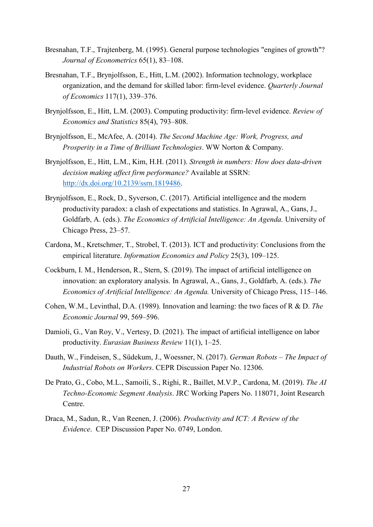- Bresnahan, T.F., Trajtenberg, M. (1995). General purpose technologies "engines of growth"? *Journal of Econometrics* 65(1), 83–108.
- Bresnahan, T.F., Brynjolfsson, E., Hitt, L.M. (2002). Information technology, workplace organization, and the demand for skilled labor: firm-level evidence. *Quarterly Journal of Economics* 117(1), 339–376.
- Brynjolfsson, E., Hitt, L.M. (2003). Computing productivity: firm-level evidence. *Review of Economics and Statistics* 85(4), 793–808.
- Brynjolfsson, E., McAfee, A. (2014). *The Second Machine Age: Work, Progress, and Prosperity in a Time of Brilliant Technologies*. WW Norton & Company.
- Brynjolfsson, E., Hitt, L.M., Kim, H.H. (2011). *Strength in numbers: How does data-driven decision making affect firm performance?* Available at SSRN: [http://dx.doi.org/10.2139/ssrn.1819486.](http://dx.doi.org/10.2139/ssrn.1819486)
- Brynjolfsson, E., Rock, D., Syverson, C. (2017). Artificial intelligence and the modern productivity paradox: a clash of expectations and statistics. In Agrawal, A., Gans, J., Goldfarb, A. (eds.). *The Economics of Artificial Intelligence: An Agenda.* University of Chicago Press, 23–57.
- Cardona, M., Kretschmer, T., Strobel, T. (2013). ICT and productivity: Conclusions from the empirical literature. *Information Economics and Policy* 25(3), 109–125.
- Cockburn, I. M., Henderson, R., Stern, S. (2019). The impact of artificial intelligence on innovation: an exploratory analysis. In Agrawal, A., Gans, J., Goldfarb, A. (eds.). *The Economics of Artificial Intelligence: An Agenda.* University of Chicago Press, 115–146.
- Cohen, W.M., Levinthal, D.A. (1989). Innovation and learning: the two faces of R & D. *The Economic Journal* 99, 569–596.
- Damioli, G., Van Roy, V., Vertesy, D. (2021). The impact of artificial intelligence on labor productivity. *Eurasian Business Review* 11(1), 1–25.
- Dauth, W., Findeisen, S., Südekum, J., Woessner, N. (2017). *German Robots – The Impact of Industrial Robots on Workers*. CEPR Discussion Paper No. 12306.
- De Prato, G., Cobo, M.L., Samoili, S., Righi, R., Baillet, M.V.P., Cardona, M. (2019). *The AI Techno-Economic Segment Analysis*. JRC Working Papers No. 118071, Joint Research Centre.
- Draca, M., Sadun, R., Van Reenen, J. (2006). *Productivity and ICT: A Review of the Evidence*. CEP Discussion Paper No. 0749, London.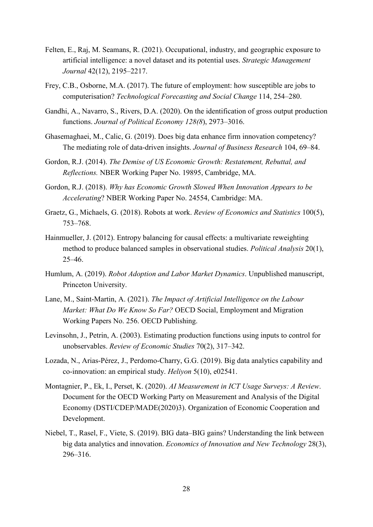- Felten, E., Raj, M. Seamans, R. (2021). Occupational, industry, and geographic exposure to artificial intelligence: a novel dataset and its potential uses. *Strategic Management Journal* 42(12), 2195–2217.
- Frey, C.B., Osborne, M.A. (2017). The future of employment: how susceptible are jobs to computerisation? *Technological Forecasting and Social Change* 114, 254–280.
- Gandhi, A., Navarro, S., Rivers, D.A. (2020). On the identification of gross output production functions. *Journal of Political Economy 128(8*), 2973–3016.
- Ghasemaghaei, M., Calic, G. (2019). Does big data enhance firm innovation competency? The mediating role of data-driven insights. *Journal of Business Research* 104, 69–84.
- Gordon, R.J. (2014). *The Demise of US Economic Growth: Restatement, Rebuttal, and Reflections.* NBER Working Paper No. 19895, Cambridge, MA.
- Gordon, R.J. (2018). *Why has Economic Growth Slowed When Innovation Appears to be Accelerating*? NBER Working Paper No. 24554, Cambridge: MA.
- Graetz, G., Michaels, G. (2018). Robots at work. *Review of Economics and Statistics* 100(5), 753–768.
- Hainmueller, J. (2012). Entropy balancing for causal effects: a multivariate reweighting method to produce balanced samples in observational studies. *Political Analysis* 20(1), 25–46.
- Humlum, A. (2019). *Robot Adoption and Labor Market Dynamics*. Unpublished manuscript, Princeton University.
- Lane, M., Saint-Martin, A. (2021). *The Impact of Artificial Intelligence on the Labour Market: What Do We Know So Far?* OECD Social, Employment and Migration Working Papers No. 256. OECD Publishing.
- Levinsohn, J., Petrin, A. (2003). Estimating production functions using inputs to control for unobservables. *Review of Economic Studies* 70(2), 317–342.
- Lozada, N., Arias-Pérez, J., Perdomo-Charry, G.G. (2019). Big data analytics capability and co-innovation: an empirical study. *Heliyon* 5(10), e02541.
- Montagnier, P., Ek, I., Perset, K. (2020). *AI Measurement in ICT Usage Surveys: A Review*. Document for the OECD Working Party on Measurement and Analysis of the Digital Economy (DSTI/CDEP/MADE(2020)3). Organization of Economic Cooperation and Development.
- Niebel, T., Rasel, F., Viete, S. (2019). BIG data–BIG gains? Understanding the link between big data analytics and innovation. *Economics of Innovation and New Technology* 28(3), 296–316.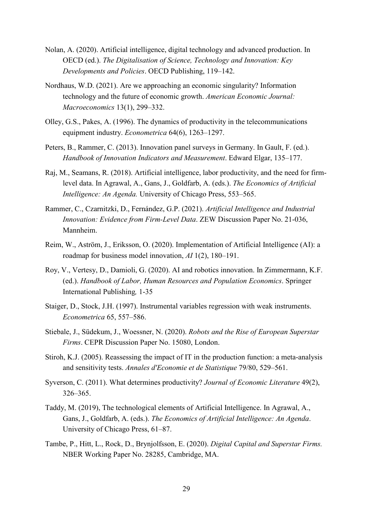- Nolan, A. (2020). Artificial intelligence, digital technology and advanced production. In OECD (ed.). *The Digitalisation of Science, Technology and Innovation: Key Developments and Policies*. OECD Publishing, 119–142.
- Nordhaus, W.D. (2021). Are we approaching an economic singularity? Information technology and the future of economic growth. *American Economic Journal: Macroeconomics* 13(1), 299–332.
- Olley, G.S., Pakes, A. (1996). The dynamics of productivity in the telecommunications equipment industry. *Econometrica* 64(6), 1263–1297.
- Peters, B., Rammer, C. (2013). Innovation panel surveys in Germany. In Gault, F. (ed.). *Handbook of Innovation Indicators and Measurement*. Edward Elgar, 135–177.
- Raj, M., Seamans, R. (2018). Artificial intelligence, labor productivity, and the need for firmlevel data. In Agrawal, A., Gans, J., Goldfarb, A. (eds.). *The Economics of Artificial Intelligence: An Agenda.* University of Chicago Press, 553–565.
- Rammer, C., Czarnitzki, D., Fernández, G.P. (2021). *Artificial Intelligence and Industrial Innovation: Evidence from Firm-Level Data*. ZEW Discussion Paper No. 21-036, Mannheim.
- Reim, W., Aström, J., Eriksson, O. (2020). Implementation of Artificial Intelligence (AI): a roadmap for business model innovation, *AI* 1(2), 180–191.
- Roy, V., Vertesy, D., Damioli, G. (2020). AI and robotics innovation. In Zimmermann, K.F. (ed.). *Handbook of Labor, Human Resources and Population Economics*. Springer International Publishing*,* 1-35
- Staiger, D., Stock, J.H. (1997). Instrumental variables regression with weak instruments. *Econometrica* 65, 557–586.
- Stiebale, J., Südekum, J., Woessner, N. (2020). *Robots and the Rise of European Superstar Firms*. CEPR Discussion Paper No. 15080, London.
- Stiroh, K.J. (2005). Reassessing the impact of IT in the production function: a meta-analysis and sensitivity tests. *Annales d'Economie et de Statistique* 79/80, 529–561.
- Syverson, C. (2011). What determines productivity? *Journal of Economic Literature* 49(2), 326–365.
- Taddy, M. (2019), The technological elements of Artificial Intelligence. In Agrawal, A., Gans, J., Goldfarb, A. (eds.). *The Economics of Artificial Intelligence: An Agenda*. University of Chicago Press, 61–87.
- Tambe, P., Hitt, L., Rock, D., Brynjolfsson, E. (2020). *Digital Capital and Superstar Firms.* NBER Working Paper No. 28285, Cambridge, MA.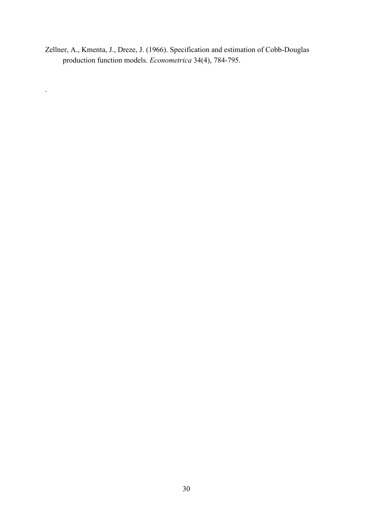Zellner, A., Kmenta, J., Dreze, J. (1966). Specification and estimation of Cobb-Douglas production function models. *Econometrica* 34(4), 784-795.

.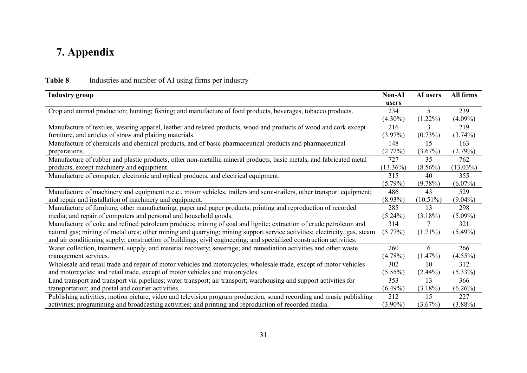# **7. Appendix**

| <b>Industry group</b>                                                                                                     | <b>Non-AI</b> | AI users    | All firms   |
|---------------------------------------------------------------------------------------------------------------------------|---------------|-------------|-------------|
| Crop and animal production; hunting; fishing; and manufacture of food products, beverages, tobacco products.              | users<br>234  | 5           | 239         |
|                                                                                                                           | $(4.30\%)$    | $(1.22\%)$  | $(4.09\%)$  |
| Manufacture of textiles, wearing apparel, leather and related products, wood and products of wood and cork except         | 216           |             | 219         |
| furniture, and articles of straw and plaiting materials.                                                                  | $(3.97\%)$    | $(0.73\%)$  | $(3.74\%)$  |
| Manufacture of chemicals and chemical products, and of basic pharmaceutical products and pharmaceutical                   | 148           | 15          | 163         |
| preparations.                                                                                                             | (2.72%)       | $(3.67\%)$  | $(2.79\%)$  |
| Manufacture of rubber and plastic products, other non-metallic mineral products, basic metals, and fabricated metal       | 727           | 35          | 762         |
| products, except machinery and equipment.                                                                                 | $(13.36\%)$   | $(8.56\%)$  | $(13.03\%)$ |
| Manufacture of computer, electronic and optical products, and electrical equipment.                                       | 315           | 40          | 355         |
|                                                                                                                           | $(5.79\%)$    | $(9.78\%)$  | $(6.07\%)$  |
| Manufacture of machinery and equipment n.e.c., motor vehicles, trailers and semi-trailers, other transport equipment;     | 486           | 43          | 529         |
| and repair and installation of machinery and equipment.                                                                   | $(8.93\%)$    | $(10.51\%)$ | $(9.04\%)$  |
| Manufacture of furniture, other manufacturing, paper and paper products; printing and reproduction of recorded            | 285           | 13          | 298         |
| media; and repair of computers and personal and household goods.                                                          | $(5.24\%)$    | $(3.18\%)$  | $(5.09\%)$  |
| Manufacture of coke and refined petroleum products; mining of coal and lignite; extraction of crude petroleum and         | 314           |             | 321         |
| natural gas; mining of metal ores; other mining and quarrying; mining support service activities; electricity, gas, steam | $(5.77\%)$    | $(1.71\%)$  | $(5.49\%)$  |
| and air conditioning supply; construction of buildings; civil engineering; and specialized construction activities.       |               |             |             |
| Water collection, treatment, supply, and material recovery; sewerage; and remediation activities and other waste          | 260           | 6           | 266         |
| management services.                                                                                                      | (4.78%)       | $(1.47\%)$  | $(4.55\%)$  |
| Wholesale and retail trade and repair of motor vehicles and motorcycles; wholesale trade, except of motor vehicles        | 302           | 10          | 312         |
| and motorcycles; and retail trade, except of motor vehicles and motorcycles.                                              | $(5.55\%)$    | $(2.44\%)$  | $(5.33\%)$  |
| Land transport and transport via pipelines; water transport; air transport; warehousing and support activities for        | 353           | 13          | 366         |
| transportation; and postal and courier activities.                                                                        | $(6.49\%)$    | $(3.18\%)$  | $(6.26\%)$  |
| Publishing activities; motion picture, video and television program production, sound recording and music publishing      | 212           | 15          | 227         |
| activities; programming and broadcasting activities; and printing and reproduction of recorded media.                     | $(3.90\%)$    | $(3.67\%)$  | $(3.88\%)$  |

## **Table 8** Industries and number of AI using firms per industry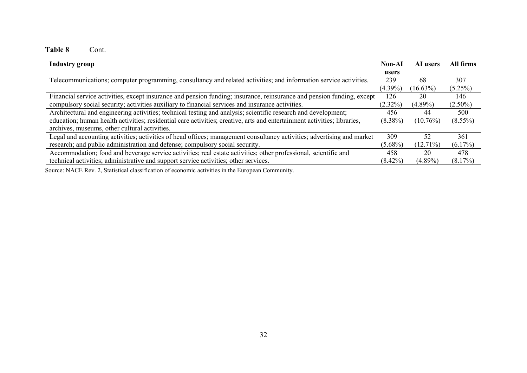## **Table 8** Cont.

| <b>Industry group</b>                                                                                                    | Non-AI     | AI users    | All firms  |
|--------------------------------------------------------------------------------------------------------------------------|------------|-------------|------------|
|                                                                                                                          | users      |             |            |
| Telecommunications; computer programming, consultancy and related activities; and information service activities.        | 239        | 68          | 307        |
|                                                                                                                          | $(4.39\%)$ | $(16.63\%)$ | (5.25%)    |
| Financial service activities, except insurance and pension funding; insurance, reinsurance and pension funding, except   | 126        | 20          | 146        |
| compulsory social security; activities auxiliary to financial services and insurance activities.                         | $(2.32\%)$ | $(4.89\%)$  | $(2.50\%)$ |
| Architectural and engineering activities; technical testing and analysis; scientific research and development;           | 456        | 44          | 500        |
| education; human health activities; residential care activities; creative, arts and entertainment activities; libraries, | $(8.38\%)$ | $(10.76\%)$ | $(8.55\%)$ |
| archives, museums, other cultural activities.                                                                            |            |             |            |
| Legal and accounting activities; activities of head offices; management consultancy activities; advertising and market   | 309        | 52          | 361        |
| research; and public administration and defense; compulsory social security.                                             | $(5.68\%)$ | $(12.71\%)$ | $(6.17\%)$ |
| Accommodation; food and beverage service activities; real estate activities; other professional, scientific and          | 458        | 20          | 478        |
| technical activities; administrative and support service activities; other services.                                     | $(8.42\%)$ | $(4.89\%)$  | $(8.17\%)$ |
|                                                                                                                          |            |             |            |

Source: NACE Rev. 2, Statistical classification of economic activities in the European Community.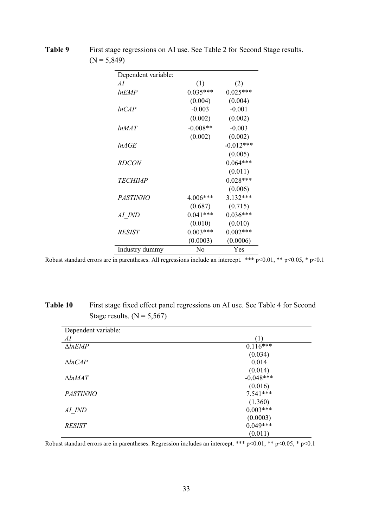| Dependent variable: |                  |                   |
|---------------------|------------------|-------------------|
| AI                  | $\left(1\right)$ | $\left( 2\right)$ |
| lnEMP               | $0.035***$       | $0.025***$        |
|                     | (0.004)          | (0.004)           |
| lnCAP               | $-0.003$         | $-0.001$          |
|                     | (0.002)          | (0.002)           |
| lnMAT               | $-0.008**$       | $-0.003$          |
|                     | (0.002)          | (0.002)           |
| lnAGE               |                  | $-0.012***$       |
|                     |                  | (0.005)           |
| <i>RDCON</i>        |                  | $0.064***$        |
|                     |                  | (0.011)           |
| <i>TECHIMP</i>      |                  | $0.028***$        |
|                     |                  | (0.006)           |
| PASTINNO            | 4.006***         | 3.132***          |
|                     | (0.687)          | (0.715)           |
| AI IND              | $0.041***$       | $0.036***$        |
|                     | (0.010)          | (0.010)           |
| <i>RESIST</i>       | $0.003***$       | $0.002***$        |
|                     | (0.0003)         | (0.0006)          |
| Industry dummy      | No               | Yes               |

**Table 9** First stage regressions on AI use. See Table 2 for Second Stage results.  $(N = 5,849)$ 

Robust standard errors are in parentheses. All regressions include an intercept. \*\*\*  $p$  <0.01, \*\*  $p$  <0.05, \*  $p$  <0.1

| Table 10 | First stage fixed effect panel regressions on AI use. See Table 4 for Second |
|----------|------------------------------------------------------------------------------|
|          | Stage results. $(N = 5,567)$                                                 |

| Dependent variable: |             |
|---------------------|-------------|
| AI                  | (1)         |
| $\triangle InEMP$   | $0.116***$  |
|                     | (0.034)     |
| $\triangle ln CAP$  | 0.014       |
|                     | (0.014)     |
| $\triangle ln$ MAT  | $-0.048***$ |
|                     | (0.016)     |
| <b>PASTINNO</b>     | $7.541***$  |
|                     | (1.360)     |
| AI IND              | $0.003***$  |
|                     | (0.0003)    |
| <b>RESIST</b>       | $0.049***$  |
|                     | (0.011)     |

Robust standard errors are in parentheses. Regression includes an intercept. \*\*\*  $p<0.01$ , \*\*  $p<0.05$ , \*  $p<0.1$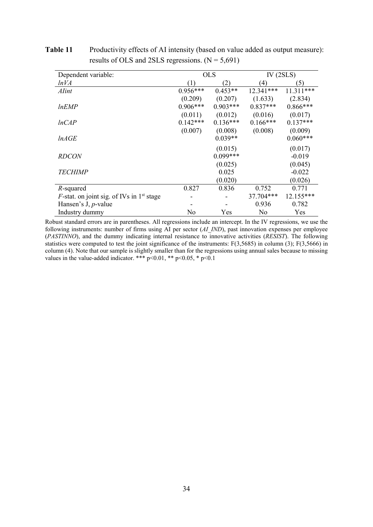| Dependent variable:                                 |            | <b>OLS</b> |                  | IV $(2SLS)$ |
|-----------------------------------------------------|------------|------------|------------------|-------------|
| lnVA                                                |            | (2)        | $\left(4\right)$ | (5)         |
| Alint                                               | $0.956***$ | $0.453**$  | 12.341***        | $11.311***$ |
|                                                     | (0.209)    | (0.207)    | (1.633)          | (2.834)     |
| <i>lnEMP</i>                                        | $0.906***$ | $0.903***$ | $0.837***$       | $0.866***$  |
|                                                     | (0.011)    | (0.012)    | (0.016)          | (0.017)     |
| lnCAP                                               | $0.142***$ | $0.136***$ | $0.166***$       | $0.137***$  |
|                                                     | (0.007)    | (0.008)    | (0.008)          | (0.009)     |
| lnAGE                                               |            | $0.039**$  |                  | $0.060***$  |
|                                                     |            | (0.015)    |                  | (0.017)     |
| <b>RDCON</b>                                        |            | $0.099***$ |                  | $-0.019$    |
|                                                     |            | (0.025)    |                  | (0.045)     |
| <b>TECHIMP</b>                                      |            | 0.025      |                  | $-0.022$    |
|                                                     |            | (0.020)    |                  | (0.026)     |
| R-squared                                           | 0.827      | 0.836      | 0.752            | 0.771       |
| <i>F</i> -stat. on joint sig. of IVs in $1st$ stage |            |            | 37.704***        | 12.155***   |
| Hansen's J, $p$ -value                              |            |            | 0.936            | 0.782       |
| Industry dummy                                      | No         | Yes        | No               | Yes         |

**Table 11** Productivity effects of AI intensity (based on value added as output measure): results of OLS and 2SLS regressions.  $(N = 5,691)$ 

Robust standard errors are in parentheses. All regressions include an intercept. In the IV regressions, we use the following instruments: number of firms using AI per sector (*AI\_IND*), past innovation expenses per employee (*PASTINNO*), and the dummy indicating internal resistance to innovative activities (*RESIST*). The following statistics were computed to test the joint significance of the instruments: F(3,5685) in column (3); F(3,5666) in column (4). Note that our sample is slightly smaller than for the regressions using annual sales because to missing values in the value-added indicator. \*\*\*  $p<0.01$ , \*\*  $p<0.05$ , \*  $p<0.1$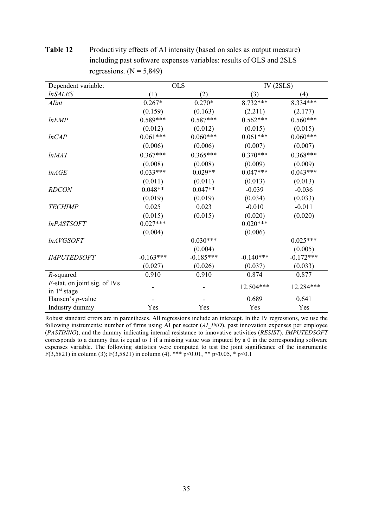| Dependent variable:             | <b>OLS</b>  |             | IV $(2SLS)$ |             |
|---------------------------------|-------------|-------------|-------------|-------------|
| <i><b>InSALES</b></i>           | (1)         | (2)         | (3)         | (4)         |
| Alint                           | $0.267*$    | $0.270*$    | 8.732***    | 8.334***    |
|                                 | (0.159)     | (0.163)     | (2.211)     | (2.177)     |
| <i>lnEMP</i>                    | $0.589***$  | $0.587***$  | $0.562***$  | $0.560***$  |
|                                 | (0.012)     | (0.012)     | (0.015)     | (0.015)     |
| lnCAP                           | $0.061***$  | $0.060***$  | $0.061***$  | $0.060***$  |
|                                 | (0.006)     | (0.006)     | (0.007)     | (0.007)     |
| lnMAT                           | $0.367***$  | $0.365***$  | $0.370***$  | $0.368***$  |
|                                 | (0.008)     | (0.008)     | (0.009)     | (0.009)     |
| lnAGE                           | $0.033***$  | $0.029**$   | $0.047***$  | $0.043***$  |
|                                 | (0.011)     | (0.011)     | (0.013)     | (0.013)     |
| <b>RDCON</b>                    | $0.048**$   | $0.047**$   | $-0.039$    | $-0.036$    |
|                                 | (0.019)     | (0.019)     | (0.034)     | (0.033)     |
| <b>TECHIMP</b>                  | 0.025       | 0.023       | $-0.010$    | $-0.011$    |
|                                 | (0.015)     | (0.015)     | (0.020)     | (0.020)     |
| <i>InPASTSOFT</i>               | $0.027***$  |             | $0.020***$  |             |
|                                 | (0.004)     |             | (0.006)     |             |
| <i>lnAVGSOFT</i>                |             | $0.030***$  |             | $0.025***$  |
|                                 |             | (0.004)     |             | (0.005)     |
| <b>IMPUTEDSOFT</b>              | $-0.163***$ | $-0.185***$ | $-0.140***$ | $-0.172***$ |
|                                 | (0.027)     | (0.026)     | (0.037)     | (0.033)     |
| $R$ -squared                    | 0.910       | 0.910       | 0.874       | 0.877       |
| $F$ -stat. on joint sig. of IVs |             |             | 12.504***   | 12.284***   |
| in 1st stage                    |             |             |             |             |
| Hansen's <i>p</i> -value        |             |             | 0.689       | 0.641       |
| Industry dummy                  | Yes         | Yes         | Yes         | Yes         |

**Table 12** Productivity effects of AI intensity (based on sales as output measure) including past software expenses variables: results of OLS and 2SLS regressions.  $(N = 5,849)$ 

Robust standard errors are in parentheses. All regressions include an intercept. In the IV regressions, we use the following instruments: number of firms using AI per sector (*AI\_IND*), past innovation expenses per employee (*PASTINNO*), and the dummy indicating internal resistance to innovative activities (*RESIST*). *IMPUTEDSOFT* corresponds to a dummy that is equal to 1 if a missing value was imputed by a 0 in the corresponding software expenses variable. The following statistics were computed to test the joint significance of the instruments: F(3,5821) in column (3); F(3,5821) in column (4). \*\*\* p<0.01, \*\* p<0.05, \* p<0.1